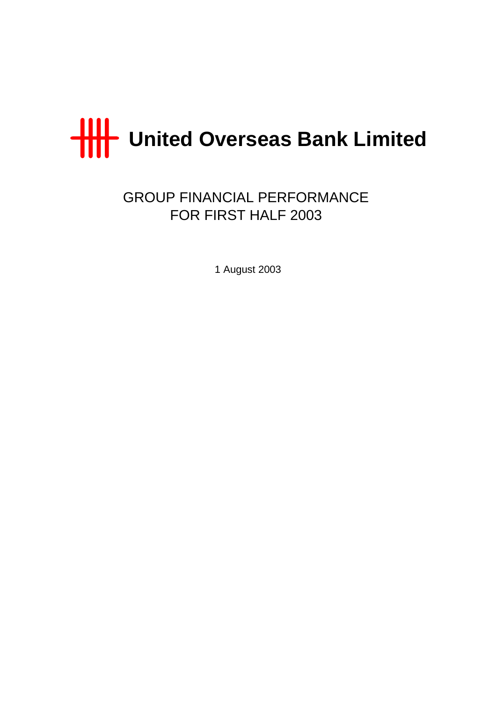

GROUP FINANCIAL PERFORMANCE FOR FIRST HALF 2003

1 August 2003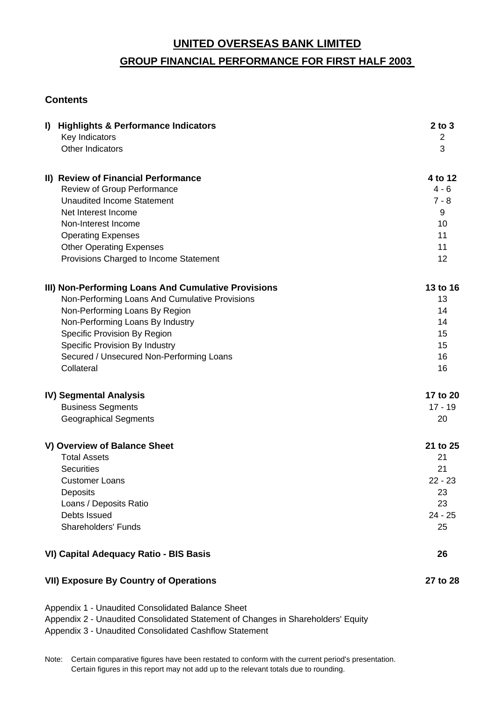# **GROUP FINANCIAL PERFORMANCE FOR FIRST HALF 2003**

# **Contents**

| $\mathbf{I}$ | <b>Highlights &amp; Performance Indicators</b><br>Key Indicators | $2$ to $3$<br>$\overline{2}$ |
|--------------|------------------------------------------------------------------|------------------------------|
|              | Other Indicators                                                 | 3                            |
|              | II) Review of Financial Performance                              | 4 to 12                      |
|              | Review of Group Performance<br><b>Unaudited Income Statement</b> | $4 - 6$<br>$7 - 8$           |
|              | Net Interest Income                                              | 9                            |
|              | Non-Interest Income                                              | 10                           |
|              | <b>Operating Expenses</b>                                        | 11                           |
|              | <b>Other Operating Expenses</b>                                  | 11                           |
|              | Provisions Charged to Income Statement                           | 12                           |
|              | III) Non-Performing Loans And Cumulative Provisions              | 13 to 16                     |
|              | Non-Performing Loans And Cumulative Provisions                   | 13                           |
|              | Non-Performing Loans By Region                                   | 14                           |
|              | Non-Performing Loans By Industry                                 | 14                           |
|              | Specific Provision By Region                                     | 15                           |
|              | Specific Provision By Industry                                   | 15                           |
|              | Secured / Unsecured Non-Performing Loans<br>Collateral           | 16<br>16                     |
|              |                                                                  |                              |
|              | <b>IV) Segmental Analysis</b>                                    | 17 to 20                     |
|              | <b>Business Segments</b>                                         | $17 - 19$                    |
|              | <b>Geographical Segments</b>                                     | 20                           |
|              | V) Overview of Balance Sheet                                     | 21 to 25                     |
|              | <b>Total Assets</b>                                              | 21                           |
|              | <b>Securities</b>                                                | 21                           |
|              | <b>Customer Loans</b>                                            | $22 - 23$                    |
|              | Deposits                                                         | 23                           |
|              | Loans / Deposits Ratio                                           | 23                           |
|              | Debts Issued                                                     | $24 - 25$                    |
|              | <b>Shareholders' Funds</b>                                       | 25                           |
|              | VI) Capital Adequacy Ratio - BIS Basis                           | 26                           |
|              | <b>VII) Exposure By Country of Operations</b>                    | 27 to 28                     |

Appendix 1 - Unaudited Consolidated Balance Sheet Appendix 2 - Unaudited Consolidated Statement of Changes in Shareholders' Equity Appendix 3 - Unaudited Consolidated Cashflow Statement

Note: Certain comparative figures have been restated to conform with the current period's presentation. Certain figures in this report may not add up to the relevant totals due to rounding.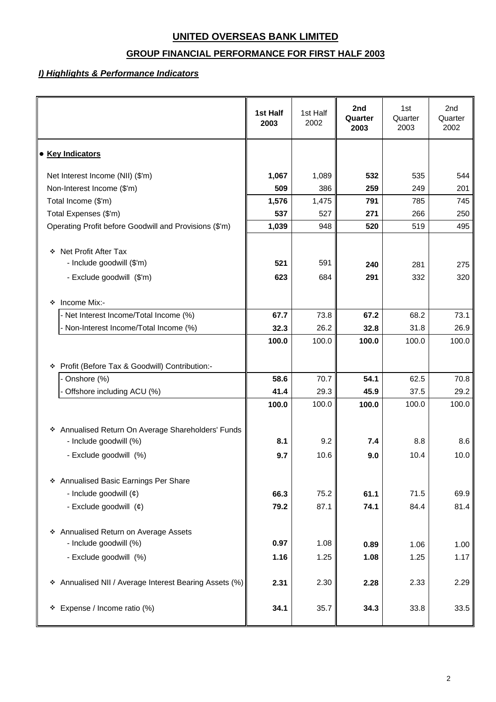# **GROUP FINANCIAL PERFORMANCE FOR FIRST HALF 2003**

### *I) Highlights & Performance Indicators*

|                                                                                               | 1st Half<br>2003 | 1st Half<br>2002 | 2nd<br>Quarter<br>2003 | 1st<br>Quarter<br>2003 | 2nd<br>Quarter<br>2002 |
|-----------------------------------------------------------------------------------------------|------------------|------------------|------------------------|------------------------|------------------------|
| • Key Indicators                                                                              |                  |                  |                        |                        |                        |
| Net Interest Income (NII) (\$'m)                                                              | 1,067            | 1,089            | 532                    | 535                    | 544                    |
| Non-Interest Income (\$'m)                                                                    | 509              | 386              | 259                    | 249                    | 201                    |
| Total Income (\$'m)                                                                           | 1,576            | 1,475            | 791                    | 785                    | 745                    |
| Total Expenses (\$'m)                                                                         | 537              | 527              | 271                    | 266                    | 250                    |
| Operating Profit before Goodwill and Provisions (\$'m)                                        | 1,039            | 948              | 520                    | 519                    | 495                    |
| ❖ Net Profit After Tax<br>- Include goodwill (\$'m)                                           | 521              | 591              | 240                    | 281                    | 275                    |
| - Exclude goodwill (\$'m)                                                                     | 623              | 684              | 291                    | 332                    | 320                    |
| Income Mix:-<br>❖                                                                             |                  |                  |                        |                        |                        |
| - Net Interest Income/Total Income (%)                                                        | 67.7             | 73.8             | 67.2                   | 68.2                   | 73.1                   |
| Non-Interest Income/Total Income (%)                                                          | 32.3             | 26.2             | 32.8                   | 31.8                   | 26.9                   |
| Profit (Before Tax & Goodwill) Contribution:-<br>❖                                            | 100.0            | 100.0            | 100.0                  | 100.0                  | 100.0                  |
| Onshore (%)                                                                                   | 58.6             | 70.7             | 54.1                   | 62.5                   | 70.8                   |
| Offshore including ACU (%)                                                                    | 41.4             | 29.3             | 45.9                   | 37.5                   | 29.2                   |
|                                                                                               | 100.0            | 100.0            | 100.0                  | 100.0                  | 100.0                  |
| * Annualised Return On Average Shareholders' Funds<br>- Include goodwill (%)                  | 8.1              | 9.2              | 7.4                    | 8.8                    | 8.6                    |
| - Exclude goodwill (%)                                                                        | 9.7              | 10.6             | 9.0                    | 10.4                   | 10.0                   |
| * Annualised Basic Earnings Per Share<br>- Include goodwill $(e)$<br>- Exclude goodwill $(e)$ | 66.3<br>79.2     | 75.2<br>87.1     | 61.1<br>74.1           | 71.5<br>84.4           | 69.9<br>81.4           |
| * Annualised Return on Average Assets<br>- Include goodwill (%)<br>- Exclude goodwill (%)     | 0.97<br>1.16     | 1.08<br>1.25     | 0.89<br>1.08           | 1.06<br>1.25           | 1.00<br>1.17           |
| * Annualised NII / Average Interest Bearing Assets (%)                                        | 2.31             | 2.30             | 2.28                   | 2.33                   | 2.29                   |
| * Expense / Income ratio (%)                                                                  | 34.1             | 35.7             | 34.3                   | 33.8                   | 33.5                   |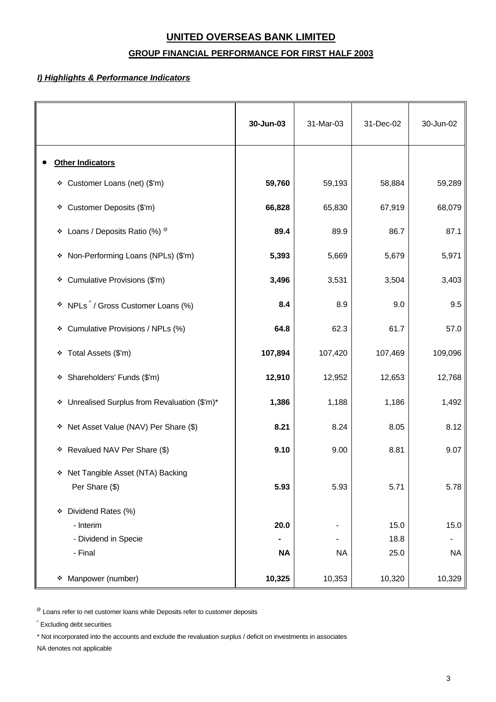# **GROUP FINANCIAL PERFORMANCE FOR FIRST HALF 2003**

### *I) Highlights & Performance Indicators*

|                                                                         | 30-Jun-03         | 31-Mar-03 | 31-Dec-02            | 30-Jun-02         |
|-------------------------------------------------------------------------|-------------------|-----------|----------------------|-------------------|
| <b>Other Indicators</b>                                                 |                   |           |                      |                   |
| * Customer Loans (net) (\$'m)                                           | 59,760            | 59,193    | 58,884               | 59,289            |
| * Customer Deposits (\$'m)                                              | 66,828            | 65,830    | 67,919               | 68,079            |
| * Loans / Deposits Ratio (%) ®                                          | 89.4              | 89.9      | 86.7                 | 87.1              |
| Non-Performing Loans (NPLs) (\$'m)<br>۰                                 | 5,393             | 5,669     | 5,679                | 5,971             |
| Cumulative Provisions (\$'m)<br>۰                                       | 3,496             | 3,531     | 3,504                | 3,403             |
| * NPLs <sup>^</sup> / Gross Customer Loans (%)                          | 8.4               | 8.9       | 9.0                  | 9.5               |
| Cumulative Provisions / NPLs (%)<br>۰                                   | 64.8              | 62.3      | 61.7                 | 57.0              |
| Total Assets (\$'m)<br>۰                                                | 107,894           | 107,420   | 107,469              | 109,096           |
| Shareholders' Funds (\$'m)<br>۰                                         | 12,910            | 12,952    | 12,653               | 12,768            |
| * Unrealised Surplus from Revaluation (\$'m)*                           | 1,386             | 1,188     | 1,186                | 1,492             |
| * Net Asset Value (NAV) Per Share (\$)                                  | 8.21              | 8.24      | 8.05                 | 8.12              |
| Revalued NAV Per Share (\$)<br>۰                                        | 9.10              | 9.00      | 8.81                 | 9.07              |
| * Net Tangible Asset (NTA) Backing<br>Per Share (\$)                    | 5.93              | 5.93      | 5.71                 | 5.78              |
| Dividend Rates (%)<br>❖<br>- Interim<br>- Dividend in Specie<br>- Final | 20.0<br><b>NA</b> | <b>NA</b> | 15.0<br>18.8<br>25.0 | 15.0<br><b>NA</b> |
| Manpower (number)<br>۰                                                  | 10,325            | 10,353    | 10,320               | 10,329            |

 $^{\circledR}$  Loans refer to net customer loans while Deposits refer to customer deposits

^ Excluding debt securities

\* Not incorporated into the accounts and exclude the revaluation surplus / deficit on investments in associates

NA denotes not applicable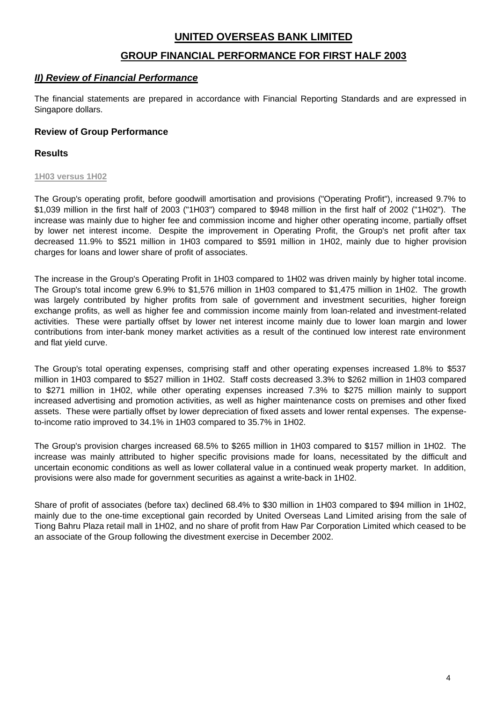### **GROUP FINANCIAL PERFORMANCE FOR FIRST HALF 2003**

### *II) Review of Financial Performance*

The financial statements are prepared in accordance with Financial Reporting Standards and are expressed in Singapore dollars.

### **Review of Group Performance**

### **Results**

#### **1H03 versus 1H02**

The Group's operating profit, before goodwill amortisation and provisions ("Operating Profit"), increased 9.7% to \$1,039 million in the first half of 2003 ("1H03") compared to \$948 million in the first half of 2002 ("1H02"). The increase was mainly due to higher fee and commission income and higher other operating income, partially offset by lower net interest income. Despite the improvement in Operating Profit, the Group's net profit after tax decreased 11.9% to \$521 million in 1H03 compared to \$591 million in 1H02, mainly due to higher provision charges for loans and lower share of profit of associates.

The increase in the Group's Operating Profit in 1H03 compared to 1H02 was driven mainly by higher total income. The Group's total income grew 6.9% to \$1,576 million in 1H03 compared to \$1,475 million in 1H02. The growth was largely contributed by higher profits from sale of government and investment securities, higher foreign exchange profits, as well as higher fee and commission income mainly from loan-related and investment-related activities. These were partially offset by lower net interest income mainly due to lower loan margin and lower contributions from inter-bank money market activities as a result of the continued low interest rate environment and flat yield curve.

The Group's total operating expenses, comprising staff and other operating expenses increased 1.8% to \$537 million in 1H03 compared to \$527 million in 1H02. Staff costs decreased 3.3% to \$262 million in 1H03 compared to \$271 million in 1H02, while other operating expenses increased 7.3% to \$275 million mainly to support increased advertising and promotion activities, as well as higher maintenance costs on premises and other fixed assets. These were partially offset by lower depreciation of fixed assets and lower rental expenses. The expenseto-income ratio improved to 34.1% in 1H03 compared to 35.7% in 1H02.

The Group's provision charges increased 68.5% to \$265 million in 1H03 compared to \$157 million in 1H02. The increase was mainly attributed to higher specific provisions made for loans, necessitated by the difficult and uncertain economic conditions as well as lower collateral value in a continued weak property market. In addition, provisions were also made for government securities as against a write-back in 1H02.

Share of profit of associates (before tax) declined 68.4% to \$30 million in 1H03 compared to \$94 million in 1H02, mainly due to the one-time exceptional gain recorded by United Overseas Land Limited arising from the sale of Tiong Bahru Plaza retail mall in 1H02, and no share of profit from Haw Par Corporation Limited which ceased to be an associate of the Group following the divestment exercise in December 2002.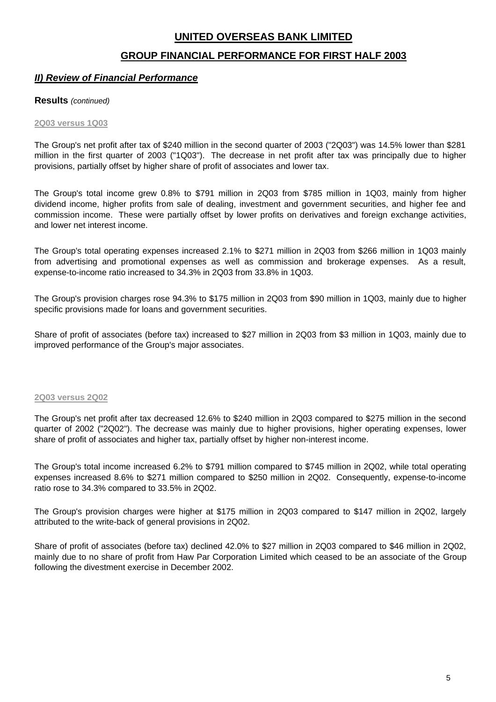# **GROUP FINANCIAL PERFORMANCE FOR FIRST HALF 2003**

### *II) Review of Financial Performance*

### **Results** *(continued)*

#### **2Q03 versus 1Q03**

The Group's net profit after tax of \$240 million in the second quarter of 2003 ("2Q03") was 14.5% lower than \$281 million in the first quarter of 2003 ("1Q03"). The decrease in net profit after tax was principally due to higher provisions, partially offset by higher share of profit of associates and lower tax.

The Group's total income grew 0.8% to \$791 million in 2Q03 from \$785 million in 1Q03, mainly from higher dividend income, higher profits from sale of dealing, investment and government securities, and higher fee and commission income. These were partially offset by lower profits on derivatives and foreign exchange activities, and lower net interest income.

The Group's total operating expenses increased 2.1% to \$271 million in 2Q03 from \$266 million in 1Q03 mainly from advertising and promotional expenses as well as commission and brokerage expenses. As a result, expense-to-income ratio increased to 34.3% in 2Q03 from 33.8% in 1Q03.

The Group's provision charges rose 94.3% to \$175 million in 2Q03 from \$90 million in 1Q03, mainly due to higher specific provisions made for loans and government securities.

Share of profit of associates (before tax) increased to \$27 million in 2Q03 from \$3 million in 1Q03, mainly due to improved performance of the Group's major associates.

#### **2Q03 versus 2Q02**

The Group's net profit after tax decreased 12.6% to \$240 million in 2Q03 compared to \$275 million in the second quarter of 2002 ("2Q02"). The decrease was mainly due to higher provisions, higher operating expenses, lower share of profit of associates and higher tax, partially offset by higher non-interest income.

The Group's total income increased 6.2% to \$791 million compared to \$745 million in 2Q02, while total operating expenses increased 8.6% to \$271 million compared to \$250 million in 2Q02. Consequently, expense-to-income ratio rose to 34.3% compared to 33.5% in 2Q02.

The Group's provision charges were higher at \$175 million in 2Q03 compared to \$147 million in 2Q02, largely attributed to the write-back of general provisions in 2Q02.

Share of profit of associates (before tax) declined 42.0% to \$27 million in 2Q03 compared to \$46 million in 2Q02, mainly due to no share of profit from Haw Par Corporation Limited which ceased to be an associate of the Group following the divestment exercise in December 2002.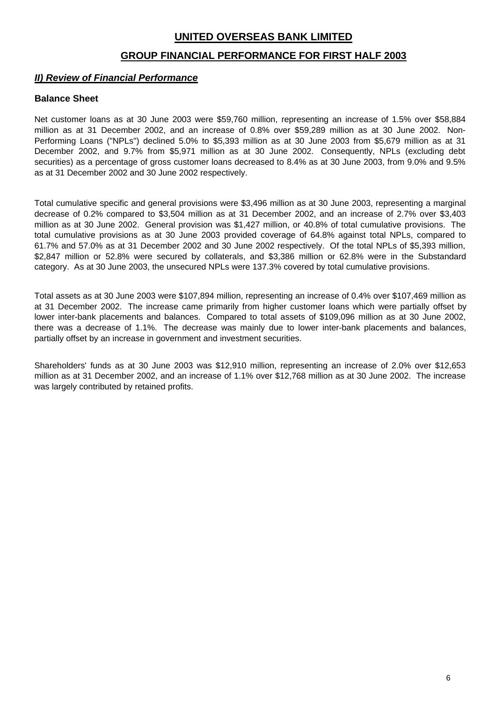### **GROUP FINANCIAL PERFORMANCE FOR FIRST HALF 2003**

### *II) Review of Financial Performance*

### **Balance Sheet**

Net customer loans as at 30 June 2003 were \$59,760 million, representing an increase of 1.5% over \$58,884 million as at 31 December 2002, and an increase of 0.8% over \$59,289 million as at 30 June 2002. Non-Performing Loans ("NPLs") declined 5.0% to \$5,393 million as at 30 June 2003 from \$5,679 million as at 31 December 2002, and 9.7% from \$5,971 million as at 30 June 2002. Consequently, NPLs (excluding debt securities) as a percentage of gross customer loans decreased to 8.4% as at 30 June 2003, from 9.0% and 9.5% as at 31 December 2002 and 30 June 2002 respectively.

Total cumulative specific and general provisions were \$3,496 million as at 30 June 2003, representing a marginal decrease of 0.2% compared to \$3,504 million as at 31 December 2002, and an increase of 2.7% over \$3,403 million as at 30 June 2002. General provision was \$1,427 million, or 40.8% of total cumulative provisions. The total cumulative provisions as at 30 June 2003 provided coverage of 64.8% against total NPLs, compared to 61.7% and 57.0% as at 31 December 2002 and 30 June 2002 respectively. Of the total NPLs of \$5,393 million, \$2,847 million or 52.8% were secured by collaterals, and \$3,386 million or 62.8% were in the Substandard category. As at 30 June 2003, the unsecured NPLs were 137.3% covered by total cumulative provisions.

Total assets as at 30 June 2003 were \$107,894 million, representing an increase of 0.4% over \$107,469 million as at 31 December 2002. The increase came primarily from higher customer loans which were partially offset by lower inter-bank placements and balances. Compared to total assets of \$109,096 million as at 30 June 2002, there was a decrease of 1.1%. The decrease was mainly due to lower inter-bank placements and balances, partially offset by an increase in government and investment securities.

Shareholders' funds as at 30 June 2003 was \$12,910 million, representing an increase of 2.0% over \$12,653 million as at 31 December 2002, and an increase of 1.1% over \$12,768 million as at 30 June 2002. The increase was largely contributed by retained profits.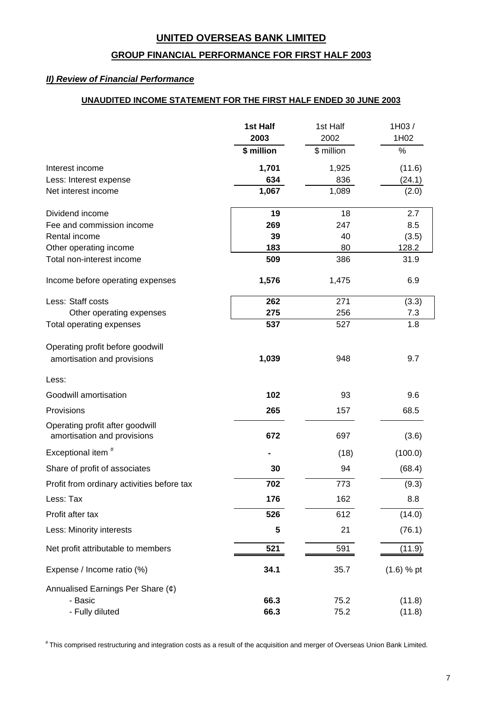### **GROUP FINANCIAL PERFORMANCE FOR FIRST HALF 2003**

### *II) Review of Financial Performance*

# **UNAUDITED INCOME STATEMENT FOR THE FIRST HALF ENDED 30 JUNE 2003**

|                                                                | 1st Half<br>2003 | 1st Half<br>2002 | 1H03/<br>1H02    |
|----------------------------------------------------------------|------------------|------------------|------------------|
|                                                                | \$ million       | \$ million       | $\%$             |
|                                                                |                  |                  |                  |
| Interest income<br>Less: Interest expense                      | 1,701<br>634     | 1,925<br>836     | (11.6)<br>(24.1) |
| Net interest income                                            | 1,067            | 1,089            | (2.0)            |
|                                                                |                  |                  |                  |
| Dividend income                                                | 19               | 18               | 2.7              |
| Fee and commission income                                      | 269              | 247              | 8.5              |
| Rental income                                                  | 39               | 40               | (3.5)            |
| Other operating income<br>Total non-interest income            | 183<br>509       | 80<br>386        | 128.2<br>31.9    |
|                                                                |                  |                  |                  |
| Income before operating expenses                               | 1,576            | 1,475            | 6.9              |
| Less: Staff costs                                              | 262              | 271              | (3.3)            |
| Other operating expenses                                       | 275              | 256              | 7.3              |
| <b>Total operating expenses</b>                                | 537              | 527              | 1.8              |
| Operating profit before goodwill                               |                  |                  |                  |
| amortisation and provisions                                    | 1,039            | 948              | 9.7              |
|                                                                |                  |                  |                  |
| Less:                                                          |                  |                  |                  |
| Goodwill amortisation                                          | 102              | 93               | 9.6              |
| Provisions                                                     | 265              | 157              | 68.5             |
| Operating profit after goodwill<br>amortisation and provisions | 672              | 697              | (3.6)            |
| Exceptional item <sup>#</sup>                                  |                  | (18)             | (100.0)          |
| Share of profit of associates                                  | 30               | 94               | (68.4)           |
| Profit from ordinary activities before tax                     | 702              | 773              | (9.3)            |
| Less: Tax                                                      | 176              | 162              | 8.8              |
| Profit after tax                                               | 526              | 612              | (14.0)           |
| Less: Minority interests                                       | 5                | 21               | (76.1)           |
| Net profit attributable to members                             | 521              | 591              | (11.9)           |
| Expense / Income ratio (%)                                     | 34.1             | 35.7             | $(1.6) %$ pt     |
| Annualised Earnings Per Share $(\phi)$                         |                  |                  |                  |
| - Basic                                                        | 66.3             | 75.2             | (11.8)           |
| - Fully diluted                                                | 66.3             | 75.2             | (11.8)           |

# This comprised restructuring and integration costs as a result of the acquisition and merger of Overseas Union Bank Limited.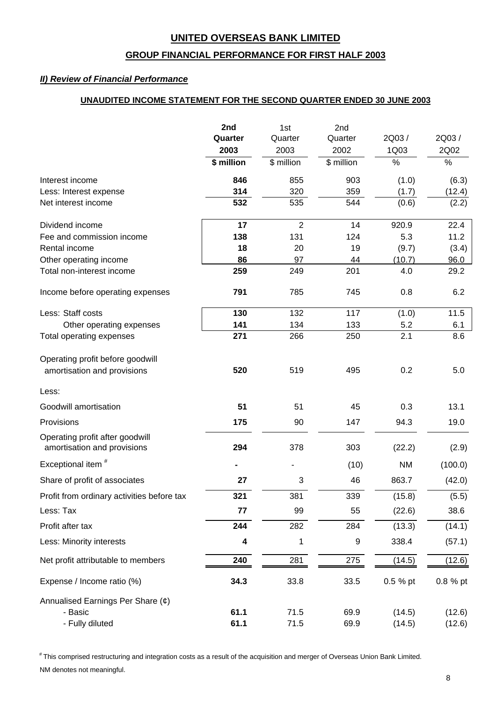### **GROUP FINANCIAL PERFORMANCE FOR FIRST HALF 2003**

### *II) Review of Financial Performance*

### **UNAUDITED INCOME STATEMENT FOR THE SECOND QUARTER ENDED 30 JUNE 2003**

|                                                                 | 2nd        | 1st            | 2nd              |           |          |
|-----------------------------------------------------------------|------------|----------------|------------------|-----------|----------|
|                                                                 | Quarter    | Quarter        | Quarter          | 2Q03/     | 2Q03/    |
|                                                                 | 2003       | 2003           | 2002             | 1Q03      | 2Q02     |
|                                                                 | \$ million | \$ million     | \$ million       | $\%$      | $\%$     |
| Interest income                                                 | 846        | 855            | 903              | (1.0)     | (6.3)    |
| Less: Interest expense                                          | 314        | 320            | 359              | (1.7)     | (12.4)   |
| Net interest income                                             | 532        | 535            | 544              | (0.6)     | (2.2)    |
| Dividend income                                                 | 17         | $\overline{2}$ | 14               | 920.9     | 22.4     |
| Fee and commission income                                       | 138        | 131            | 124              | 5.3       | 11.2     |
| Rental income                                                   | 18         | 20             | 19               | (9.7)     | (3.4)    |
| Other operating income                                          | 86         | 97             | 44               | (10.7)    | 96.0     |
| Total non-interest income                                       | 259        | 249            | 201              | 4.0       | 29.2     |
| Income before operating expenses                                | 791        | 785            | 745              | 0.8       | 6.2      |
| Less: Staff costs                                               | 130        | 132            | 117              | (1.0)     | 11.5     |
| Other operating expenses                                        | 141        | 134            | 133              | 5.2       | 6.1      |
| <b>Total operating expenses</b>                                 | 271        | 266            | 250              | 2.1       | 8.6      |
| Operating profit before goodwill<br>amortisation and provisions | 520        | 519            | 495              | 0.2       | 5.0      |
| Less:                                                           |            |                |                  |           |          |
| Goodwill amortisation                                           | 51         | 51             | 45               | 0.3       | 13.1     |
| Provisions                                                      | 175        | 90             | 147              | 94.3      | 19.0     |
| Operating profit after goodwill<br>amortisation and provisions  | 294        | 378            | 303              | (22.2)    | (2.9)    |
| Exceptional item <sup>#</sup>                                   |            |                | (10)             | <b>NM</b> | (100.0)  |
| Share of profit of associates                                   | 27         | 3              | 46               | 863.7     | (42.0)   |
| Profit from ordinary activities before tax                      | 321        | 381            | 339              | (15.8)    | (5.5)    |
| Less: Tax                                                       | 77         | 99             | 55               | (22.6)    | 38.6     |
| Profit after tax                                                | 244        | 282            | 284              | (13.3)    | (14.1)   |
| Less: Minority interests                                        | 4          | 1              | $\boldsymbol{9}$ | 338.4     | (57.1)   |
| Net profit attributable to members                              | 240        | 281            | 275              | (14.5)    | (12.6)   |
| Expense / Income ratio (%)                                      | 34.3       | 33.8           | 33.5             | 0.5 % pt  | 0.8 % pt |
| Annualised Earnings Per Share (¢)                               |            |                |                  |           |          |
| - Basic                                                         | 61.1       | 71.5           | 69.9             | (14.5)    | (12.6)   |
| - Fully diluted                                                 | 61.1       | 71.5           | 69.9             | (14.5)    | (12.6)   |

# This comprised restructuring and integration costs as a result of the acquisition and merger of Overseas Union Bank Limited. NM denotes not meaningful.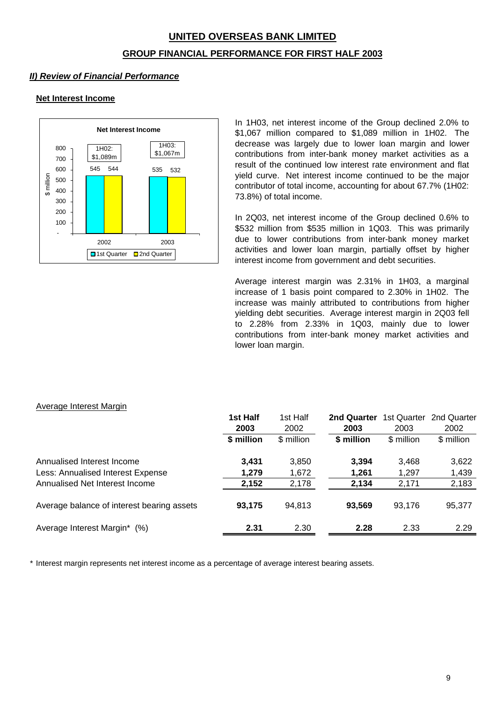# **UNITED OVERSEAS BANK LIMITED GROUP FINANCIAL PERFORMANCE FOR FIRST HALF 2003**

# *II) Review of Financial Performance*

### **Net Interest Income**



In 1H03, net interest income of the Group declined 2.0% to \$1,067 million compared to \$1,089 million in 1H02. The decrease was largely due to lower loan margin and lower contributions from inter-bank money market activities as a result of the continued low interest rate environment and flat yield curve. Net interest income continued to be the major contributor of total income, accounting for about 67.7% (1H02: 73.8%) of total income.

In 2Q03, net interest income of the Group declined 0.6% to \$532 million from \$535 million in 1Q03. This was primarily due to lower contributions from inter-bank money market activities and lower loan margin, partially offset by higher interest income from government and debt securities.

Average interest margin was 2.31% in 1H03, a marginal increase of 1 basis point compared to 2.30% in 1H02. The increase was mainly attributed to contributions from higher yielding debt securities. Average interest margin in 2Q03 fell to 2.28% from 2.33% in 1Q03, mainly due to lower contributions from inter-bank money market activities and lower loan margin.

#### Average Interest Margin

|                                            | 1st Half   | 1st Half   | 2nd Quarter | 1st Quarter | 2nd Quarter |
|--------------------------------------------|------------|------------|-------------|-------------|-------------|
|                                            | 2003       | 2002       | 2003        | 2003        | 2002        |
|                                            | \$ million | \$ million | \$ million  | \$ million  | \$ million  |
| Annualised Interest Income                 | 3,431      | 3,850      | 3,394       | 3,468       | 3,622       |
| Less: Annualised Interest Expense          | 1,279      | 1,672      | 1,261       | 1,297       | 1,439       |
| Annualised Net Interest Income             | 2,152      | 2,178      | 2,134       | 2,171       | 2,183       |
| Average balance of interest bearing assets | 93,175     | 94,813     | 93,569      | 93,176      | 95,377      |
| Average Interest Margin*<br>(% )           | 2.31       | 2.30       | 2.28        | 2.33        | 2.29        |

\* Interest margin represents net interest income as a percentage of average interest bearing assets.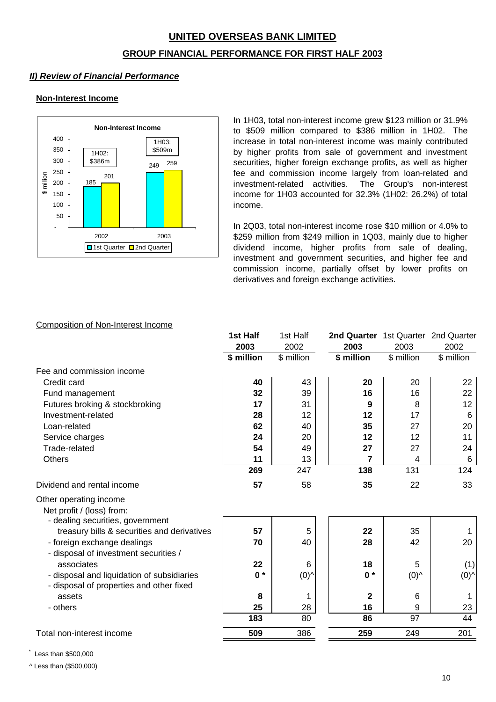# **UNITED OVERSEAS BANK LIMITED GROUP FINANCIAL PERFORMANCE FOR FIRST HALF 2003**

### *II) Review of Financial Performance*

### **Non-Interest Income**



In 1H03, total non-interest income grew \$123 million or 31.9% to \$509 million compared to \$386 million in 1H02. The increase in total non-interest income was mainly contributed by higher profits from sale of government and investment securities, higher foreign exchange profits, as well as higher fee and commission income largely from loan-related and investment-related activities. The Group's non-interest income for 1H03 accounted for 32.3% (1H02: 26.2%) of total income.

In 2Q03, total non-interest income rose \$10 million or 4.0% to \$259 million from \$249 million in 1Q03, mainly due to higher dividend income, higher profits from sale of dealing, investment and government securities, and higher fee and commission income, partially offset by lower profits on derivatives and foreign exchange activities.

### Composition of Non-Interest Income

|                                                                                         | 1st Half   | 1st Half   | 2nd Quarter 1st Quarter 2nd Quarter |                |            |
|-----------------------------------------------------------------------------------------|------------|------------|-------------------------------------|----------------|------------|
|                                                                                         | 2003       | 2002       | 2003                                | 2003           | 2002       |
|                                                                                         | \$ million | \$ million | \$ million                          | \$ million     | \$ million |
| Fee and commission income                                                               |            |            |                                     |                |            |
| Credit card                                                                             | 40         | 43         | 20                                  | 20             | 22         |
| Fund management                                                                         | 32         | 39         | 16                                  | 16             | 22         |
| Futures broking & stockbroking                                                          | 17         | 31         | 9                                   | 8              | 12         |
| Investment-related                                                                      | 28         | 12         | 12                                  | 17             | 6          |
| Loan-related                                                                            | 62         | 40         | 35                                  | 27             | 20         |
| Service charges                                                                         | 24         | 20         | 12                                  | 12             | 11         |
| Trade-related                                                                           | 54         | 49         | 27                                  | 27             | 24         |
| <b>Others</b>                                                                           | 11         | 13         | 7                                   | 4              | 6          |
|                                                                                         | 269        | 247        | 138                                 | 131            | 124        |
| Dividend and rental income                                                              | 57         | 58         | 35                                  | 22             | 33         |
| Other operating income<br>Net profit / (loss) from:<br>- dealing securities, government |            |            |                                     |                |            |
| treasury bills & securities and derivatives                                             | 57         | 5          | 22                                  | 35             | 1          |
| - foreign exchange dealings<br>- disposal of investment securities /                    | 70         | 40         | 28                                  | 42             | 20         |
| associates                                                                              | 22         | 6          | 18                                  | 5              | (1)        |
| - disposal and liquidation of subsidiaries<br>- disposal of properties and other fixed  | $0 *$      | (0)        | $0 *$                               | $(0)^{\wedge}$ | (0)        |
| assets                                                                                  | 8          | 1          | $\mathbf{2}$                        | 6              | 1          |
| - others                                                                                | 25         | 28         | 16                                  | 9              | 23         |
|                                                                                         | 183        | 80         | 86                                  | 97             | 44         |
| Total non-interest income                                                               | 509        | 386        | 259                                 | 249            | 201        |
|                                                                                         |            |            |                                     |                |            |

\* Less than \$500,000

^ Less than (\$500,000)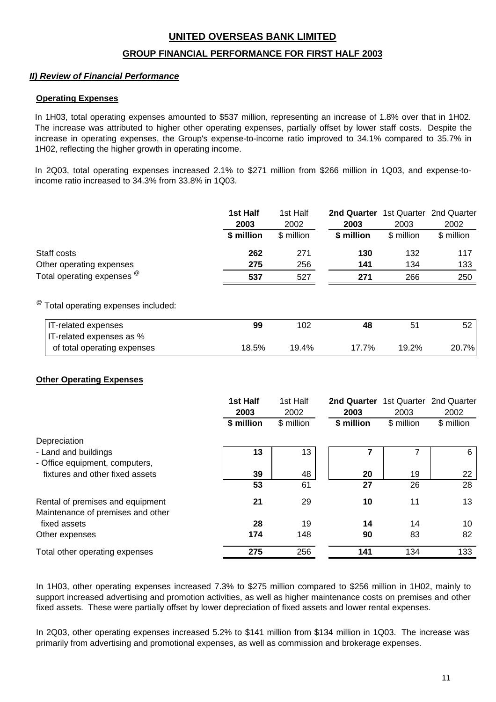### **GROUP FINANCIAL PERFORMANCE FOR FIRST HALF 2003**

### *II) Review of Financial Performance*

#### **Operating Expenses**

In 1H03, total operating expenses amounted to \$537 million, representing an increase of 1.8% over that in 1H02. The increase was attributed to higher other operating expenses, partially offset by lower staff costs. Despite the increase in operating expenses, the Group's expense-to-income ratio improved to 34.1% compared to 35.7% in 1H02, reflecting the higher growth in operating income.

In 2Q03, total operating expenses increased 2.1% to \$271 million from \$266 million in 1Q03, and expense-toincome ratio increased to 34.3% from 33.8% in 1Q03.

|                                      | 1st Half   | 1st Half   | <b>2nd Quarter</b> 1st Quarter 2nd Quarter |            |            |
|--------------------------------------|------------|------------|--------------------------------------------|------------|------------|
|                                      | 2003       | 2002       | 2003                                       | 2003       | 2002       |
|                                      | \$ million | \$ million | \$ million                                 | \$ million | \$ million |
| Staff costs                          | 262        | 271        | 130                                        | 132        | 117        |
| Other operating expenses             | 275        | 256        | 141                                        | 134        | 133        |
| Total operating expenses $^{\omega}$ | 537        | 527        | 271                                        | 266        | 250        |
|                                      |            |            |                                            |            |            |

# @ Total operating expenses included:

| IT-related expenses         | 99    | 102   | 48    | 51    |       |
|-----------------------------|-------|-------|-------|-------|-------|
| IT-related expenses as %    |       |       |       |       |       |
| of total operating expenses | 18.5% | 19.4% | 17.7% | 19.2% | 20.7% |

### **Other Operating Expenses**

|                                   | 1st Half<br>2003 | 1st Half<br>2002 | 2nd Quarter<br>2003 | 1st Quarter<br>2003 | 2nd Quarter<br>2002 |
|-----------------------------------|------------------|------------------|---------------------|---------------------|---------------------|
|                                   | \$ million       | \$ million       | \$ million          | \$ million          | \$ million          |
| Depreciation                      |                  |                  |                     |                     |                     |
| - Land and buildings              | 13               | 13               |                     |                     | 6                   |
| - Office equipment, computers,    |                  |                  |                     |                     |                     |
| fixtures and other fixed assets   | 39               | 48               | 20                  | 19                  | 22                  |
|                                   | 53               | 61               | 27                  | 26                  | 28                  |
| Rental of premises and equipment  | 21               | 29               | 10                  | 11                  | 13                  |
| Maintenance of premises and other |                  |                  |                     |                     |                     |
| fixed assets                      | 28               | 19               | 14                  | 14                  | 10                  |
| Other expenses                    | 174              | 148              | 90                  | 83                  | 82                  |
| Total other operating expenses    | 275              | 256              | 141                 | 134                 | 133                 |

In 1H03, other operating expenses increased 7.3% to \$275 million compared to \$256 million in 1H02, mainly to support increased advertising and promotion activities, as well as higher maintenance costs on premises and other fixed assets. These were partially offset by lower depreciation of fixed assets and lower rental expenses.

In 2Q03, other operating expenses increased 5.2% to \$141 million from \$134 million in 1Q03. The increase was primarily from advertising and promotional expenses, as well as commission and brokerage expenses.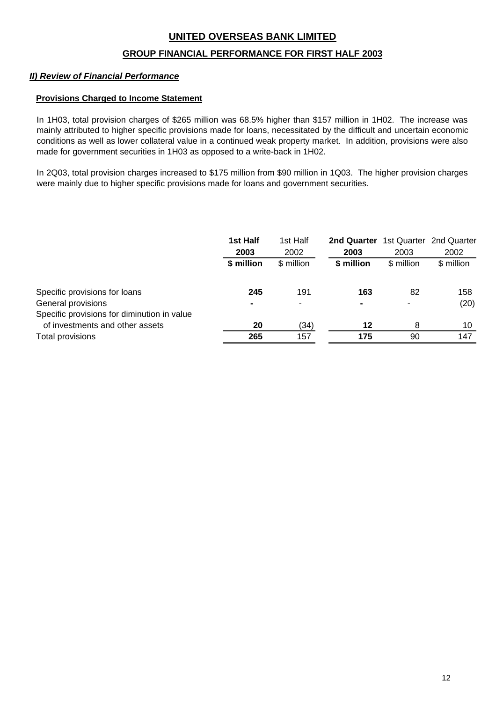### **GROUP FINANCIAL PERFORMANCE FOR FIRST HALF 2003**

### *II) Review of Financial Performance*

#### **Provisions Charged to Income Statement**

In 1H03, total provision charges of \$265 million was 68.5% higher than \$157 million in 1H02. The increase was mainly attributed to higher specific provisions made for loans, necessitated by the difficult and uncertain economic conditions as well as lower collateral value in a continued weak property market. In addition, provisions were also made for government securities in 1H03 as opposed to a write-back in 1H02.

In 2Q03, total provision charges increased to \$175 million from \$90 million in 1Q03. The higher provision charges were mainly due to higher specific provisions made for loans and government securities.

|                                             | 1st Half       | 1st Half   | 2nd Quarter |            | 1st Quarter 2nd Quarter |
|---------------------------------------------|----------------|------------|-------------|------------|-------------------------|
|                                             | 2003           | 2002       | 2003        | 2003       | 2002                    |
|                                             | \$ million     | \$ million | \$ million  | \$ million | \$ million              |
| Specific provisions for loans               | 245            | 191        | 163         | 82         | 158                     |
| General provisions                          | $\blacksquare$ | -          | ۰           |            | (20)                    |
| Specific provisions for diminution in value |                |            |             |            |                         |
| of investments and other assets             | 20             | (34)       | 12          | 8          | 10                      |
| <b>Total provisions</b>                     | 265            | 157        | 175         | 90         | 147                     |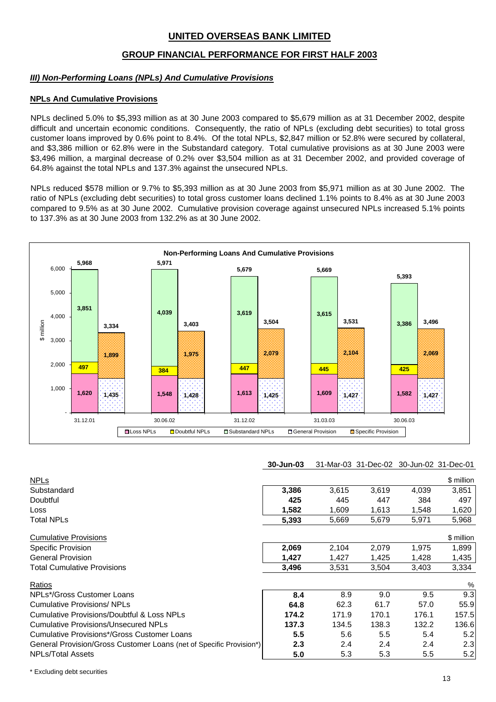### **GROUP FINANCIAL PERFORMANCE FOR FIRST HALF 2003**

#### *III) Non-Performing Loans (NPLs) And Cumulative Provisions*

#### **NPLs And Cumulative Provisions**

NPLs declined 5.0% to \$5,393 million as at 30 June 2003 compared to \$5,679 million as at 31 December 2002, despite difficult and uncertain economic conditions. Consequently, the ratio of NPLs (excluding debt securities) to total gross customer loans improved by 0.6% point to 8.4%. Of the total NPLs, \$2,847 million or 52.8% were secured by collateral, and \$3,386 million or 62.8% were in the Substandard category. Total cumulative provisions as at 30 June 2003 were \$3,496 million, a marginal decrease of 0.2% over \$3,504 million as at 31 December 2002, and provided coverage of 64.8% against the total NPLs and 137.3% against the unsecured NPLs.

NPLs reduced \$578 million or 9.7% to \$5,393 million as at 30 June 2003 from \$5,971 million as at 30 June 2002. The ratio of NPLs (excluding debt securities) to total gross customer loans declined 1.1% points to 8.4% as at 30 June 2003 compared to 9.5% as at 30 June 2002. Cumulative provision coverage against unsecured NPLs increased 5.1% points to 137.3% as at 30 June 2003 from 132.2% as at 30 June 2002.



| <b>30-Jun-03</b> 31-Mar-03 31-Dec-02 30-Jun-02 31-Dec-01 |  |  |
|----------------------------------------------------------|--|--|
|                                                          |  |  |

| <u>NPLs</u>                                                         |                  |       |       |       | \$ million |
|---------------------------------------------------------------------|------------------|-------|-------|-------|------------|
| Substandard                                                         | 3,386            | 3,615 | 3,619 | 4,039 | 3,851      |
| Doubtful                                                            | 425              | 445   | 447   | 384   | 497        |
| <b>Loss</b>                                                         | 1,582            | 1,609 | 1,613 | 1,548 | 1,620      |
| <b>Total NPLs</b>                                                   | 5,393            | 5,669 | 5,679 | 5,971 | 5,968      |
| <b>Cumulative Provisions</b>                                        |                  |       |       |       | \$ million |
| Specific Provision                                                  | 2,069            | 2,104 | 2,079 | 1,975 | 1,899      |
| <b>General Provision</b>                                            | 1,427            | 1,427 | 1,425 | 1,428 | 1,435      |
| <b>Total Cumulative Provisions</b>                                  | 3,496            | 3,531 | 3,504 | 3,403 | 3,334      |
| Ratios                                                              |                  |       |       |       | %          |
| NPLs*/Gross Customer Loans                                          | 8.4              | 8.9   | 9.0   | 9.5   | 9.3        |
| <b>Cumulative Provisions/ NPLs</b>                                  | 64.8             | 62.3  | 61.7  | 57.0  | 55.9       |
| <b>Cumulative Provisions/Doubtful &amp; Loss NPLs</b>               | 174.2            | 171.9 | 170.1 | 176.1 | 157.5      |
| <b>Cumulative Provisions/Unsecured NPLs</b>                         | 137.3            | 134.5 | 138.3 | 132.2 | 136.6      |
| Cumulative Provisions*/Gross Customer Loans                         | 5.5              | 5.6   | 5.5   | 5.4   | 5.2        |
| General Provision/Gross Customer Loans (net of Specific Provision*) | $2.3\phantom{0}$ | 2.4   | 2.4   | 2.4   | 2.3        |
| <b>NPLs/Total Assets</b>                                            | 5.0              | 5.3   | 5.3   | 5.5   | 5.2        |
|                                                                     |                  |       |       |       |            |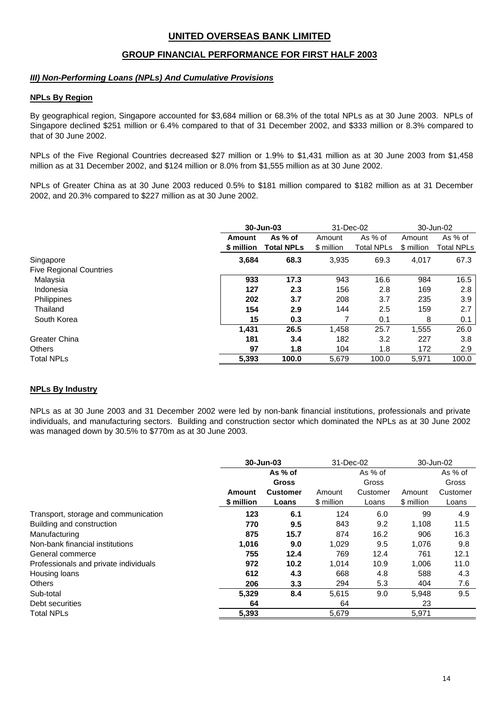### **GROUP FINANCIAL PERFORMANCE FOR FIRST HALF 2003**

#### *III) Non-Performing Loans (NPLs) And Cumulative Provisions*

#### **NPLs By Region**

By geographical region, Singapore accounted for \$3,684 million or 68.3% of the total NPLs as at 30 June 2003. NPLs of Singapore declined \$251 million or 6.4% compared to that of 31 December 2002, and \$333 million or 8.3% compared to that of 30 June 2002.

NPLs of the Five Regional Countries decreased \$27 million or 1.9% to \$1,431 million as at 30 June 2003 from \$1,458 million as at 31 December 2002, and \$124 million or 8.0% from \$1,555 million as at 30 June 2002.

NPLs of Greater China as at 30 June 2003 reduced 0.5% to \$181 million compared to \$182 million as at 31 December 2002, and 20.3% compared to \$227 million as at 30 June 2002.

|                                |            | 30-Jun-03         |            | 31-Dec-02         |            | 30-Jun-02         |
|--------------------------------|------------|-------------------|------------|-------------------|------------|-------------------|
|                                | Amount     | As % of           |            | As % of           | Amount     | As % of           |
|                                | \$ million | <b>Total NPLs</b> | \$ million | <b>Total NPLs</b> | \$ million | <b>Total NPLs</b> |
| Singapore                      | 3,684      | 68.3              | 3,935      | 69.3              | 4,017      | 67.3              |
| <b>Five Regional Countries</b> |            |                   |            |                   |            |                   |
| Malaysia                       | 933        | 17.3              | 943        | 16.6              | 984        | 16.5              |
| Indonesia                      | 127        | 2.3               | 156        | 2.8               | 169        | 2.8               |
| Philippines                    | 202        | 3.7               | 208        | 3.7               | 235        | 3.9               |
| Thailand                       | 154        | 2.9               | 144        | 2.5               | 159        | 2.7               |
| South Korea                    | 15         | 0.3               |            | 0.1               | 8          | 0.1               |
|                                | 1,431      | 26.5              | 1,458      | 25.7              | 1,555      | 26.0              |
| Greater China                  | 181        | 3.4               | 182        | 3.2               | 227        | 3.8               |
| <b>Others</b>                  | 97         | 1.8               | 104        | 1.8               | 172        | 2.9               |
| <b>Total NPLs</b>              | 5.393      | 100.0             | 5,679      | 100.0             | 5,971      | 100.0             |

#### **NPLs By Industry**

NPLs as at 30 June 2003 and 31 December 2002 were led by non-bank financial institutions, professionals and private individuals, and manufacturing sectors. Building and construction sector which dominated the NPLs as at 30 June 2002 was managed down by 30.5% to \$770m as at 30 June 2003.

|                                       | 30-Jun-03  |                 | 31-Dec-02  |          | 30-Jun-02  |          |
|---------------------------------------|------------|-----------------|------------|----------|------------|----------|
|                                       |            | As % of         |            | As % of  |            | As % of  |
|                                       |            | <b>Gross</b>    |            | Gross    |            | Gross    |
|                                       | Amount     | <b>Customer</b> | Amount     | Customer | Amount     | Customer |
|                                       | \$ million | Loans           | \$ million | Loans    | \$ million | Loans    |
| Transport, storage and communication  | 123        | 6.1             | 124        | 6.0      | 99         | 4.9      |
| Building and construction             | 770        | 9.5             | 843        | 9.2      | 1.108      | 11.5     |
| Manufacturing                         | 875        | 15.7            | 874        | 16.2     | 906        | 16.3     |
| Non-bank financial institutions       | 1,016      | 9.0             | 1,029      | 9.5      | 1,076      | 9.8      |
| General commerce                      | 755        | 12.4            | 769        | 12.4     | 761        | 12.1     |
| Professionals and private individuals | 972        | 10.2            | 1.014      | 10.9     | 1,006      | 11.0     |
| Housing loans                         | 612        | 4.3             | 668        | 4.8      | 588        | 4.3      |
| <b>Others</b>                         | 206        | 3.3             | 294        | 5.3      | 404        | 7.6      |
| Sub-total                             | 5,329      | 8.4             | 5.615      | 9.0      | 5,948      | 9.5      |
| Debt securities                       | 64         |                 | 64         |          | 23         |          |
| <b>Total NPLs</b>                     | 5,393      |                 | 5,679      |          | 5,971      |          |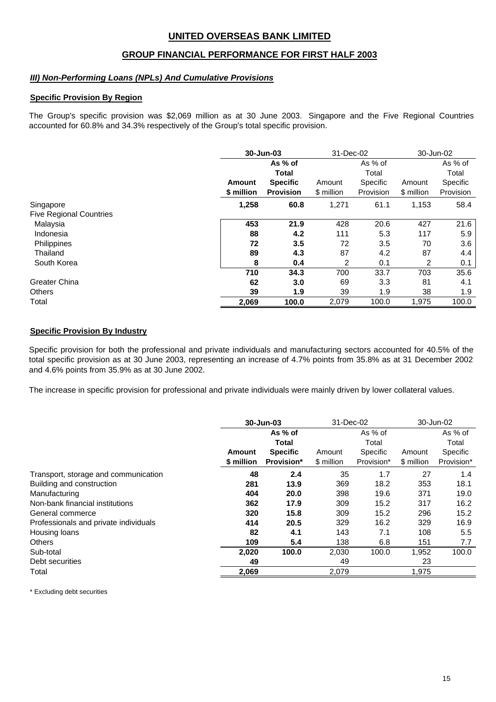### **GROUP FINANCIAL PERFORMANCE FOR FIRST HALF 2003**

#### *III) Non-Performing Loans (NPLs) And Cumulative Provisions*

#### **Specific Provision By Region**

The Group's specific provision was \$2,069 million as at 30 June 2003. Singapore and the Five Regional Countries accounted for 60.8% and 34.3% respectively of the Group's total specific provision.

|                                |            | 30-Jun-03<br>31-Dec-02 |            |           |            | 30-Jun-02 |
|--------------------------------|------------|------------------------|------------|-----------|------------|-----------|
|                                |            | As % of                |            | As % of   |            | As % of   |
|                                |            | <b>Total</b>           |            | Total     |            | Total     |
|                                | Amount     | <b>Specific</b>        | Amount     | Specific  | Amount     | Specific  |
|                                | \$ million | <b>Provision</b>       | \$ million | Provision | \$ million | Provision |
| Singapore                      | 1,258      | 60.8                   | 1,271      | 61.1      | 1,153      | 58.4      |
| <b>Five Regional Countries</b> |            |                        |            |           |            |           |
| Malaysia                       | 453        | 21.9                   | 428        | 20.6      | 427        | 21.6      |
| Indonesia                      | 88         | 4.2                    | 111        | 5.3       | 117        | 5.9       |
| Philippines                    | 72         | 3.5                    | 72         | 3.5       | 70         | 3.6       |
| Thailand                       | 89         | 4.3                    | 87         | 4.2       | 87         | 4.4       |
| South Korea                    | 8          | 0.4                    | 2          | 0.1       | 2          | 0.1       |
|                                | 710        | 34.3                   | 700        | 33.7      | 703        | 35.6      |
| <b>Greater China</b>           | 62         | 3.0                    | 69         | 3.3       | 81         | 4.1       |
| <b>Others</b>                  | 39         | 1.9                    | 39         | 1.9       | 38         | 1.9       |
| Total                          | 2,069      | 100.0                  | 2,079      | 100.0     | 1,975      | 100.0     |

#### **Specific Provision By Industry**

Specific provision for both the professional and private individuals and manufacturing sectors accounted for 40.5% of the total specific provision as at 30 June 2003, representing an increase of 4.7% points from 35.8% as at 31 December 2002 and 4.6% points from 35.9% as at 30 June 2002.

The increase in specific provision for professional and private individuals were mainly driven by lower collateral values.

|                                       |            | 30-Jun-03         |            | 31-Dec-02  |            | 30-Jun-02  |
|---------------------------------------|------------|-------------------|------------|------------|------------|------------|
|                                       |            | As % of           |            | As % of    |            | As % of    |
|                                       |            | <b>Total</b>      |            | Total      |            | Total      |
|                                       | Amount     | <b>Specific</b>   | Amount     | Specific   | Amount     | Specific   |
|                                       | \$ million | <b>Provision*</b> | \$ million | Provision* | \$ million | Provision* |
| Transport, storage and communication  | 48         | 2.4               | 35         | 1.7        | 27         | 1.4        |
| Building and construction             | 281        | 13.9              | 369        | 18.2       | 353        | 18.1       |
| Manufacturing                         | 404        | 20.0              | 398        | 19.6       | 371        | 19.0       |
| Non-bank financial institutions       | 362        | 17.9              | 309        | 15.2       | 317        | 16.2       |
| General commerce                      | 320        | 15.8              | 309        | 15.2       | 296        | 15.2       |
| Professionals and private individuals | 414        | 20.5              | 329        | 16.2       | 329        | 16.9       |
| Housing loans                         | 82         | 4.1               | 143        | 7.1        | 108        | 5.5        |
| <b>Others</b>                         | 109        | 5.4               | 138        | 6.8        | 151        | 7.7        |
| Sub-total                             | 2.020      | 100.0             | 2,030      | 100.0      | 1,952      | 100.0      |
| Debt securities                       | 49         |                   | 49         |            | 23         |            |
| Total                                 | 2,069      |                   | 2,079      |            | 1,975      |            |

\* Excluding debt securities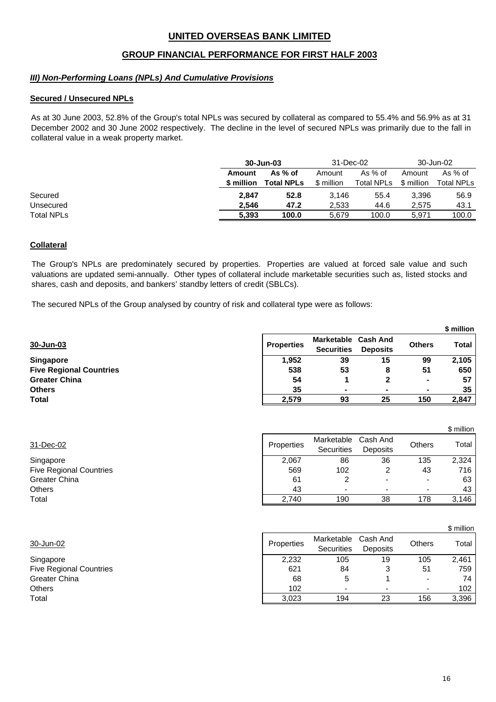### **GROUP FINANCIAL PERFORMANCE FOR FIRST HALF 2003**

#### *III) Non-Performing Loans (NPLs) And Cumulative Provisions*

#### **Secured / Unsecured NPLs**

As at 30 June 2003, 52.8% of the Group's total NPLs was secured by collateral as compared to 55.4% and 56.9% as at 31 December 2002 and 30 June 2002 respectively. The decline in the level of secured NPLs was primarily due to the fall in collateral value in a weak property market.

|                   |            | 30-Jun-03         |            | 31-Dec-02  |            | 30-Jun-02  |
|-------------------|------------|-------------------|------------|------------|------------|------------|
|                   | Amount     | As % of           | Amount     | As % of    | Amount     | As $%$ of  |
|                   | \$ million | <b>Total NPLs</b> | \$ million | Total NPLs | \$ million | Total NPLs |
| Secured           | 2.847      | 52.8              | 3.146      | 55.4       | 3.396      | 56.9       |
| Unsecured         | 2.546      | 47.2              | 2.533      | 44.6       | 2.575      | 43.1       |
| <b>Total NPLs</b> | 5,393      | 100.0             | 5.679      | 100.0      | 5.971      | 100.0      |

#### **Collateral**

The Group's NPLs are predominately secured by properties. Properties are valued at forced sale value and such valuations are updated semi-annually. Other types of collateral include marketable securities such as, listed stocks and shares, cash and deposits, and bankers' standby letters of credit (SBLCs).

The secured NPLs of the Group analysed by country of risk and collateral type were as follows:

|                                |                   |                                        |                                    |               | \$ million |
|--------------------------------|-------------------|----------------------------------------|------------------------------------|---------------|------------|
| 30-Jun-03                      | <b>Properties</b> | <b>Marketable</b><br><b>Securities</b> | <b>Cash And</b><br><b>Deposits</b> | <b>Others</b> | Total      |
| <b>Singapore</b>               | 1,952             | 39                                     | 15                                 | 99            | 2,105      |
| <b>Five Regional Countries</b> | 538               | 53                                     | 8                                  | 51            | 650        |
| <b>Greater China</b>           | 54                |                                        | 2                                  | ۰             | 57         |
| <b>Others</b>                  | 35                |                                        | ۰                                  |               | 35         |
| <b>Total</b>                   | 2,579             | 93                                     | 25                                 | 150           | 2,847      |

| 31-Dec-02                      | <b>Properties</b> | Marketable<br><b>Securities</b> | Cash And<br><b>Deposits</b> | <b>Others</b> | Total |
|--------------------------------|-------------------|---------------------------------|-----------------------------|---------------|-------|
| Singapore                      | 2,067             | 86                              | 36                          | 135           | 2.324 |
| <b>Five Regional Countries</b> | 569               | 102                             |                             | 43            | 716   |
| Greater China                  | 61                |                                 |                             |               | 63    |
| <b>Others</b>                  | 43                | $\overline{\phantom{0}}$        |                             |               | 43    |
| Total                          | 2.740             | 190                             | 38                          | 178           | 3,146 |

|                                |            |                          |                      |               | \$ million |
|--------------------------------|------------|--------------------------|----------------------|---------------|------------|
| 30-Jun-02                      | Properties | Marketable<br>Securities | Cash And<br>Deposits | <b>Others</b> | Total      |
| Singapore                      | 2,232      | 105                      | 19                   | 105           | 2,461      |
| <b>Five Regional Countries</b> | 621        | 84                       | 3                    | 51            | 759        |
| <b>Greater China</b>           | 68         | 5                        |                      | $\,$          | 74         |
| Others                         | 102        | ۰                        |                      |               | 102        |
| Total                          | 3,023      | 194                      | 23                   | 156           | 3,396      |
|                                |            |                          |                      |               |            |

\$ million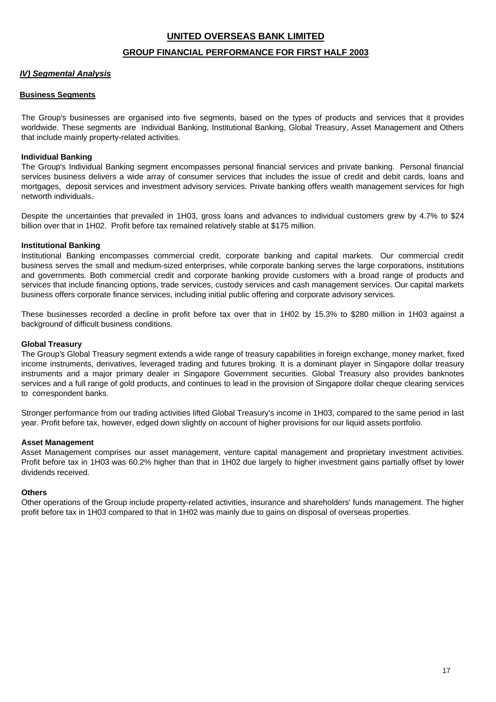#### **GROUP FINANCIAL PERFORMANCE FOR FIRST HALF 2003**

#### *IV) Segmental Analysis*

#### **Business Segments**

The Group's businesses are organised into five segments, based on the types of products and services that it provides worldwide. These segments are Individual Banking, Institutional Banking, Global Treasury, Asset Management and Others that include mainly property-related activities.

#### **Individual Banking**

The Group's Individual Banking segment encompasses personal financial services and private banking. Personal financial services business delivers a wide array of consumer services that includes the issue of credit and debit cards, loans and mortgages, deposit services and investment advisory services. Private banking offers wealth management services for high networth individuals.

Despite the uncertainties that prevailed in 1H03, gross loans and advances to individual customers grew by 4.7% to \$24 billion over that in 1H02. Profit before tax remained relatively stable at \$175 million.

#### **Institutional Banking**

Institutional Banking encompasses commercial credit, corporate banking and capital markets. Our commercial credit business serves the small and medium-sized enterprises, while corporate banking serves the large corporations, institutions and governments. Both commercial credit and corporate banking provide customers with a broad range of products and services that include financing options, trade services, custody services and cash management services. Our capital markets business offers corporate finance services, including initial public offering and corporate advisory services.

These businesses recorded a decline in profit before tax over that in 1H02 by 15.3% to \$280 million in 1H03 against a background of difficult business conditions.

#### **Global Treasury**

The Group's Global Treasury segment extends a wide range of treasury capabilities in foreign exchange, money market, fixed income instruments, derivatives, leveraged trading and futures broking. It is a dominant player in Singapore dollar treasury instruments and a major primary dealer in Singapore Government securities. Global Treasury also provides banknotes services and a full range of gold products, and continues to lead in the provision of Singapore dollar cheque clearing services to correspondent banks.

Stronger performance from our trading activities lifted Global Treasury's income in 1H03, compared to the same period in last year. Profit before tax, however, edged down slightly on account of higher provisions for our liquid assets portfolio.

#### **Asset Management**

Asset Management comprises our asset management, venture capital management and proprietary investment activities. Profit before tax in 1H03 was 60.2% higher than that in 1H02 due largely to higher investment gains partially offset by lower dividends received.

#### **Others**

Other operations of the Group include property-related activities, insurance and shareholders' funds management. The higher profit before tax in 1H03 compared to that in 1H02 was mainly due to gains on disposal of overseas properties.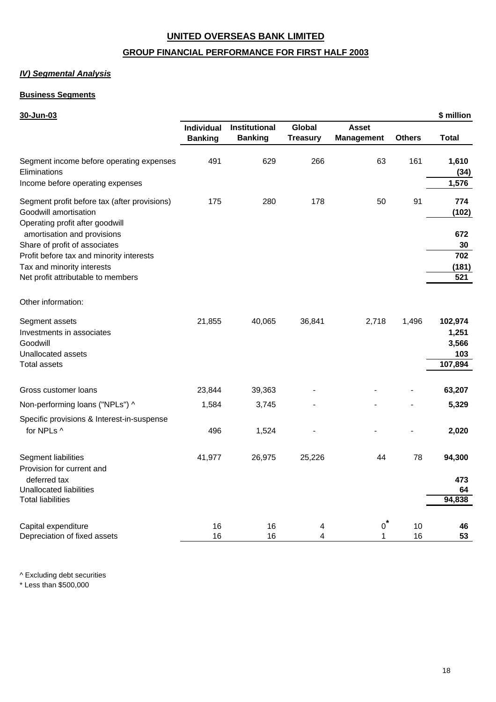### **GROUP FINANCIAL PERFORMANCE FOR FIRST HALF 2003**

#### *IV) Segmental Analysis*

### **Business Segments**

#### **30-Jun-03 \$ million**

|                                                                                                                                               | Individual<br><b>Banking</b> | Institutional<br><b>Banking</b> | <b>Global</b><br><b>Treasury</b> | <b>Asset</b><br><b>Management</b> | <b>Others</b> | <b>Total</b>                                |
|-----------------------------------------------------------------------------------------------------------------------------------------------|------------------------------|---------------------------------|----------------------------------|-----------------------------------|---------------|---------------------------------------------|
| Segment income before operating expenses<br>Eliminations<br>Income before operating expenses                                                  | 491                          | 629                             | 266                              | 63                                | 161           | 1,610<br>(34)<br>1,576                      |
| Segment profit before tax (after provisions)<br>Goodwill amortisation<br>Operating profit after goodwill<br>amortisation and provisions       | 175                          | 280                             | 178                              | 50                                | 91            | 774<br>(102)<br>672                         |
| Share of profit of associates<br>Profit before tax and minority interests<br>Tax and minority interests<br>Net profit attributable to members |                              |                                 |                                  |                                   |               | 30<br>702<br>(181)<br>521                   |
| Other information:                                                                                                                            |                              |                                 |                                  |                                   |               |                                             |
| Segment assets<br>Investments in associates<br>Goodwill<br>Unallocated assets<br>Total assets                                                 | 21,855                       | 40,065                          | 36,841                           | 2,718                             | 1,496         | 102,974<br>1,251<br>3,566<br>103<br>107,894 |
| Gross customer loans                                                                                                                          | 23,844                       | 39,363                          |                                  |                                   |               | 63,207                                      |
| Non-performing loans ("NPLs") ^<br>Specific provisions & Interest-in-suspense                                                                 | 1,584                        | 3,745                           |                                  |                                   |               | 5,329                                       |
| for NPLs ^                                                                                                                                    | 496                          | 1,524                           |                                  |                                   |               | 2,020                                       |
| Segment liabilities<br>Provision for current and                                                                                              | 41,977                       | 26,975                          | 25,226                           | 44                                | 78            | 94,300                                      |
| deferred tax<br><b>Unallocated liabilities</b><br>Total liabilities                                                                           |                              |                                 |                                  |                                   |               | 473<br>64<br>94,838                         |
| Capital expenditure<br>Depreciation of fixed assets                                                                                           | 16<br>16                     | 16<br>16                        | 4<br>4                           | $o^*$<br>1                        | 10<br>16      | 46<br>53                                    |

^ Excluding debt securities

\* Less than \$500,000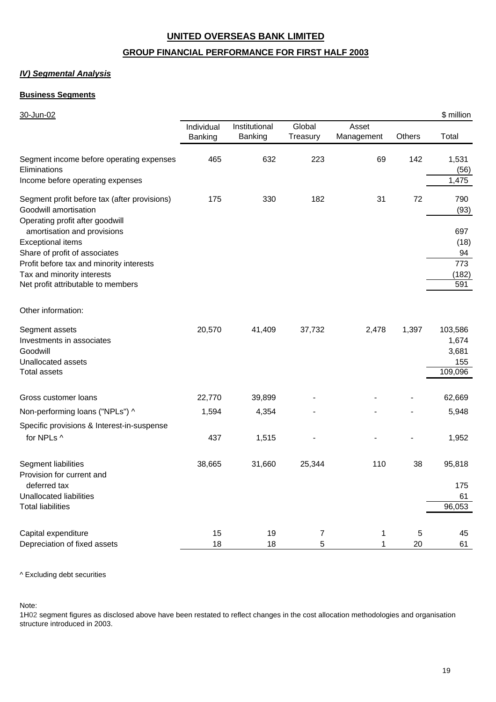### **GROUP FINANCIAL PERFORMANCE FOR FIRST HALF 2003**

#### *IV) Segmental Analysis*

#### **Business Segments**

| 30-Jun-02                                                                                                                               |                       |                          |                    |                     |        | \$ million                                  |
|-----------------------------------------------------------------------------------------------------------------------------------------|-----------------------|--------------------------|--------------------|---------------------|--------|---------------------------------------------|
|                                                                                                                                         | Individual<br>Banking | Institutional<br>Banking | Global<br>Treasury | Asset<br>Management | Others | Total                                       |
| Segment income before operating expenses<br>Eliminations<br>Income before operating expenses                                            | 465                   | 632                      | 223                | 69                  | 142    | 1,531<br>(56)<br>1,475                      |
| Segment profit before tax (after provisions)<br>Goodwill amortisation<br>Operating profit after goodwill<br>amortisation and provisions | 175                   | 330                      | 182                | 31                  | 72     | 790<br>(93)<br>697                          |
| <b>Exceptional items</b><br>Share of profit of associates                                                                               |                       |                          |                    |                     |        | (18)<br>94                                  |
| Profit before tax and minority interests<br>Tax and minority interests<br>Net profit attributable to members                            |                       |                          |                    |                     |        | 773<br>(182)<br>591                         |
| Other information:                                                                                                                      |                       |                          |                    |                     |        |                                             |
| Segment assets<br>Investments in associates<br>Goodwill<br>Unallocated assets<br><b>Total assets</b>                                    | 20,570                | 41,409                   | 37,732             | 2,478               | 1,397  | 103,586<br>1,674<br>3,681<br>155<br>109,096 |
| Gross customer loans                                                                                                                    | 22,770                | 39,899                   |                    |                     |        | 62,669                                      |
| Non-performing loans ("NPLs") ^                                                                                                         | 1,594                 | 4,354                    |                    |                     |        | 5,948                                       |
| Specific provisions & Interest-in-suspense<br>for NPLs ^                                                                                | 437                   | 1,515                    |                    |                     |        | 1,952                                       |
| Segment liabilities<br>Provision for current and                                                                                        | 38,665                | 31,660                   | 25,344             | 110                 | 38     | 95,818                                      |
| deferred tax<br>Unallocated liabilities<br><b>Total liabilities</b>                                                                     |                       |                          |                    |                     |        | 175<br>61<br>96,053                         |
| Capital expenditure                                                                                                                     | 15                    | 19                       | 7                  | 1                   | 5      | 45                                          |
| Depreciation of fixed assets                                                                                                            | 18                    | 18                       | 5                  | 1                   | 20     | 61                                          |

^ Excluding debt securities

Note:

1H02 segment figures as disclosed above have been restated to reflect changes in the cost allocation methodologies and organisation structure introduced in 2003.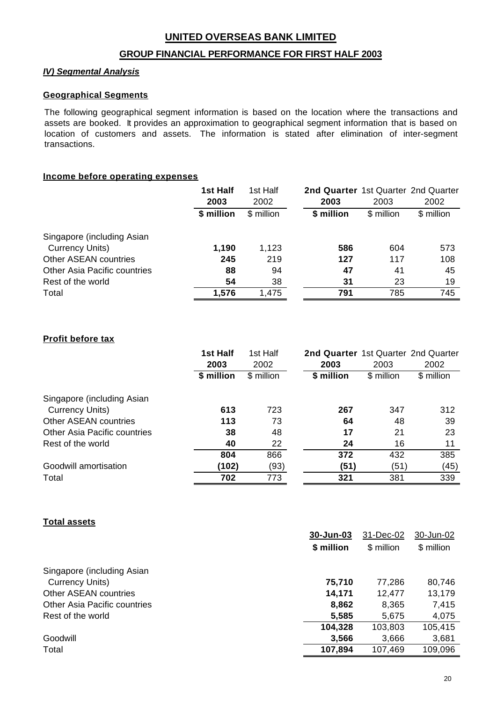### **GROUP FINANCIAL PERFORMANCE FOR FIRST HALF 2003**

### *IV) Segmental Analysis*

#### **Geographical Segments**

The following geographical segment information is based on the location where the transactions and assets are booked. It provides an approximation to geographical segment information that is based on location of customers and assets. The information is stated after elimination of inter-segment transactions.

#### **Income before operating expenses**

|                              | 1st Half   | 1st Half   | 2nd Quarter 1st Quarter 2nd Quarter |            |            |
|------------------------------|------------|------------|-------------------------------------|------------|------------|
|                              | 2003       | 2002       | 2003                                | 2003       | 2002       |
|                              | \$ million | \$ million | \$ million                          | \$ million | \$ million |
| Singapore (including Asian   |            |            |                                     |            |            |
| <b>Currency Units)</b>       | 1,190      | 1,123      | 586                                 | 604        | 573        |
| <b>Other ASEAN countries</b> | 245        | 219        | 127                                 | 117        | 108        |
| Other Asia Pacific countries | 88         | 94         | 47                                  | 41         | 45         |
| Rest of the world            | 54         | 38         | 31                                  | 23         | 19         |
| Total                        | 1,576      | 1,475      | 791                                 | 785        | 745        |

### **Profit before tax**

|                                     | 1st Half<br>2003 | 1st Half<br>2002 | 2nd Quarter 1st Quarter 2nd Quarter<br>2003 | 2003       | 2002       |
|-------------------------------------|------------------|------------------|---------------------------------------------|------------|------------|
|                                     | \$ million       | \$ million       | \$ million                                  | \$ million | \$ million |
| Singapore (including Asian          |                  |                  |                                             |            |            |
| <b>Currency Units)</b>              | 613              | 723              | 267                                         | 347        | 312        |
| <b>Other ASEAN countries</b>        | 113              | 73               | 64                                          | 48         | 39         |
| <b>Other Asia Pacific countries</b> | 38               | 48               | 17                                          | 21         | 23         |
| Rest of the world                   | 40               | 22               | 24                                          | 16         | 11         |
|                                     | 804              | 866              | 372                                         | 432        | 385        |
| Goodwill amortisation               | (102)            | (93)             | (51)                                        | (51)       | (45)       |
| Total                               | 702              | 773              | 321                                         | 381        | 339        |

### **Total assets**

|                              | 30-Jun-03  | 31-Dec-02  | 30-Jun-02  |
|------------------------------|------------|------------|------------|
|                              | \$ million | \$ million | \$ million |
|                              |            |            |            |
| Singapore (including Asian   |            |            |            |
| <b>Currency Units)</b>       | 75,710     | 77,286     | 80,746     |
| <b>Other ASEAN countries</b> | 14,171     | 12,477     | 13,179     |
| Other Asia Pacific countries | 8,862      | 8,365      | 7,415      |
| Rest of the world            | 5,585      | 5,675      | 4,075      |
|                              | 104,328    | 103,803    | 105,415    |
| Goodwill                     | 3,566      | 3,666      | 3,681      |
| Total                        | 107,894    | 107,469    | 109,096    |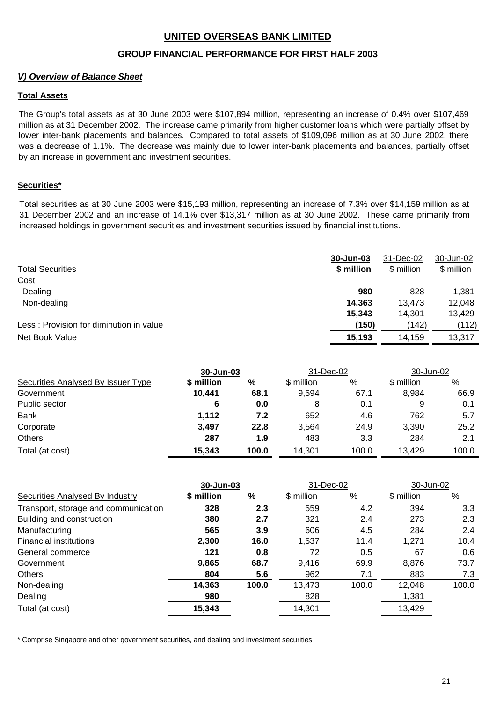### **GROUP FINANCIAL PERFORMANCE FOR FIRST HALF 2003**

### *V) Overview of Balance Sheet*

### **Total Assets**

The Group's total assets as at 30 June 2003 were \$107,894 million, representing an increase of 0.4% over \$107,469 million as at 31 December 2002. The increase came primarily from higher customer loans which were partially offset by lower inter-bank placements and balances. Compared to total assets of \$109,096 million as at 30 June 2002, there was a decrease of 1.1%. The decrease was mainly due to lower inter-bank placements and balances, partially offset by an increase in government and investment securities.

### **Securities\***

Total securities as at 30 June 2003 were \$15,193 million, representing an increase of 7.3% over \$14,159 million as at 31 December 2002 and an increase of 14.1% over \$13,317 million as at 30 June 2002. These came primarily from increased holdings in government securities and investment securities issued by financial institutions.

| <b>Total Securities</b>                 | 30-Jun-03<br>\$ million | 31-Dec-02<br>\$ million | 30-Jun-02<br>\$ million |
|-----------------------------------------|-------------------------|-------------------------|-------------------------|
| Cost                                    |                         |                         |                         |
| Dealing                                 | 980                     | 828                     | 1,381                   |
| Non-dealing                             | 14,363                  | 13.473                  | 12,048                  |
|                                         | 15,343                  | 14.301                  | 13,429                  |
| Less: Provision for diminution in value | (150)                   | (142)                   | (112)                   |
| Net Book Value                          | 15,193                  | 14,159                  | 13,317                  |

|                                    | 30-Jun-03  |       | 31-Dec-02  |       | 30-Jun-02  |       |
|------------------------------------|------------|-------|------------|-------|------------|-------|
| Securities Analysed By Issuer Type | \$ million | %     | \$ million | %     | \$ million | %     |
| Government                         | 10,441     | 68.1  | 9,594      | 67.1  | 8,984      | 66.9  |
| Public sector                      | 6          | 0.0   | 8          | 0.1   | 9          | 0.1   |
| <b>Bank</b>                        | 1,112      | 7.2   | 652        | 4.6   | 762        | 5.7   |
| Corporate                          | 3,497      | 22.8  | 3,564      | 24.9  | 3,390      | 25.2  |
| <b>Others</b>                      | 287        | 1.9   | 483        | 3.3   | 284        | 2.1   |
| Total (at cost)                    | 15,343     | 100.0 | 14,301     | 100.0 | 13,429     | 100.0 |

|                                      |            | 30-Jun-03 |            | 31-Dec-02 |            | 30-Jun-02        |  |
|--------------------------------------|------------|-----------|------------|-----------|------------|------------------|--|
| Securities Analysed By Industry      | \$ million | %         | \$ million | %         | \$ million | %                |  |
| Transport, storage and communication | 328        | 2.3       | 559        | 4.2       | 394        | 3.3 <sub>2</sub> |  |
| Building and construction            | 380        | 2.7       | 321        | 2.4       | 273        | 2.3              |  |
| Manufacturing                        | 565        | 3.9       | 606        | 4.5       | 284        | 2.4              |  |
| <b>Financial institutions</b>        | 2,300      | 16.0      | 1,537      | 11.4      | 1,271      | 10.4             |  |
| General commerce                     | 121        | 0.8       | 72         | 0.5       | 67         | 0.6              |  |
| Government                           | 9,865      | 68.7      | 9,416      | 69.9      | 8,876      | 73.7             |  |
| <b>Others</b>                        | 804        | 5.6       | 962        | 7.1       | 883        | 7.3              |  |
| Non-dealing                          | 14,363     | 100.0     | 13,473     | 100.0     | 12,048     | 100.0            |  |
| Dealing                              | 980        |           | 828        |           | 1,381      |                  |  |
| Total (at cost)                      | 15,343     |           | 14,301     |           | 13,429     |                  |  |

\* Comprise Singapore and other government securities, and dealing and investment securities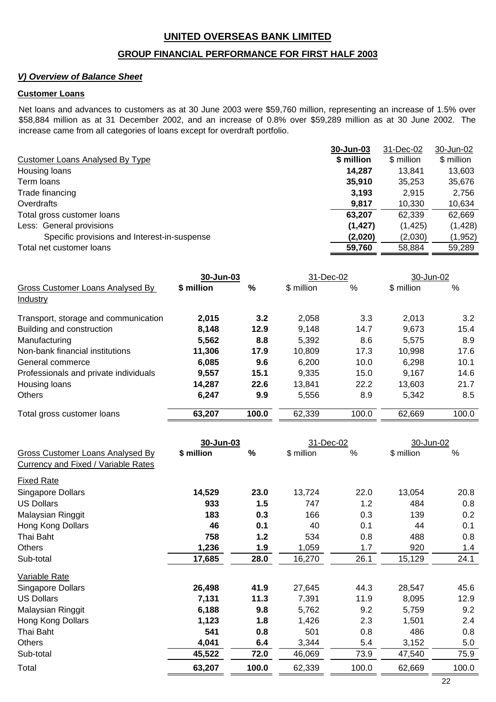### **GROUP FINANCIAL PERFORMANCE FOR FIRST HALF 2003**

### *V) Overview of Balance Sheet*

#### **Customer Loans**

Net loans and advances to customers as at 30 June 2003 were \$59,760 million, representing an increase of 1.5% over \$58,884 million as at 31 December 2002, and an increase of 0.8% over \$59,289 million as at 30 June 2002. The increase came from all categories of loans except for overdraft portfolio.

|                                              | 30-Jun-03  | 31-Dec-02  | 30-Jun-02  |
|----------------------------------------------|------------|------------|------------|
| Customer Loans Analysed By Type              | \$ million | \$ million | \$ million |
| Housing loans                                | 14.287     | 13.841     | 13,603     |
| Term loans                                   | 35,910     | 35.253     | 35,676     |
| Trade financing                              | 3,193      | 2,915      | 2,756      |
| Overdrafts                                   | 9.817      | 10.330     | 10,634     |
| Total gross customer loans                   | 63,207     | 62,339     | 62,669     |
| Less: General provisions                     | (1, 427)   | (1, 425)   | (1, 428)   |
| Specific provisions and Interest-in-suspense | (2,020)    | (2,030)    | (1,952)    |
| Total net customer loans                     | 59,760     | 58.884     | 59.289     |

|                                       | 30-Jun-03  |       | 31-Dec-02  |       | 30-Jun-02  |       |
|---------------------------------------|------------|-------|------------|-------|------------|-------|
| Gross Customer Loans Analysed By      | \$ million | %     | \$ million | %     | \$ million | %     |
| Industry                              |            |       |            |       |            |       |
| Transport, storage and communication  | 2.015      | 3.2   | 2,058      | 3.3   | 2.013      | 3.2   |
| Building and construction             | 8,148      | 12.9  | 9.148      | 14.7  | 9,673      | 15.4  |
| Manufacturing                         | 5,562      | 8.8   | 5,392      | 8.6   | 5.575      | 8.9   |
| Non-bank financial institutions       | 11,306     | 17.9  | 10,809     | 17.3  | 10,998     | 17.6  |
| General commerce                      | 6,085      | 9.6   | 6,200      | 10.0  | 6,298      | 10.1  |
| Professionals and private individuals | 9,557      | 15.1  | 9,335      | 15.0  | 9.167      | 14.6  |
| Housing loans                         | 14,287     | 22.6  | 13,841     | 22.2  | 13,603     | 21.7  |
| <b>Others</b>                         | 6,247      | 9.9   | 5,556      | 8.9   | 5,342      | 8.5   |
| Total gross customer loans            | 63,207     | 100.0 | 62,339     | 100.0 | 62,669     | 100.0 |

|                                                                         | 30-Jun-03  |       | 31-Dec-02  |       | 30-Jun-02  |       |
|-------------------------------------------------------------------------|------------|-------|------------|-------|------------|-------|
| Gross Customer Loans Analysed By<br>Currency and Fixed / Variable Rates | \$ million | %     | \$ million | %     | \$ million | %     |
| <b>Fixed Rate</b>                                                       |            |       |            |       |            |       |
| Singapore Dollars                                                       | 14,529     | 23.0  | 13,724     | 22.0  | 13,054     | 20.8  |
| <b>US Dollars</b>                                                       | 933        | 1.5   | 747        | 1.2   | 484        | 0.8   |
| Malaysian Ringgit                                                       | 183        | 0.3   | 166        | 0.3   | 139        | 0.2   |
| Hong Kong Dollars                                                       | 46         | 0.1   | 40         | 0.1   | 44         | 0.1   |
| Thai Baht                                                               | 758        | 1.2   | 534        | 0.8   | 488        | 0.8   |
| <b>Others</b>                                                           | 1,236      | 1.9   | 1,059      | 1.7   | 920        | 1.4   |
| Sub-total                                                               | 17,685     | 28.0  | 16,270     | 26.1  | 15,129     | 24.1  |
| Variable Rate                                                           |            |       |            |       |            |       |
| Singapore Dollars                                                       | 26,498     | 41.9  | 27,645     | 44.3  | 28,547     | 45.6  |
| <b>US Dollars</b>                                                       | 7,131      | 11.3  | 7,391      | 11.9  | 8,095      | 12.9  |
| Malaysian Ringgit                                                       | 6,188      | 9.8   | 5,762      | 9.2   | 5,759      | 9.2   |
| Hong Kong Dollars                                                       | 1,123      | 1.8   | 1,426      | 2.3   | 1,501      | 2.4   |
| Thai Baht                                                               | 541        | 0.8   | 501        | 0.8   | 486        | 0.8   |
| <b>Others</b>                                                           | 4,041      | 6.4   | 3,344      | 5.4   | 3,152      | 5.0   |
| Sub-total                                                               | 45,522     | 72.0  | 46,069     | 73.9  | 47,540     | 75.9  |
| Total                                                                   | 63,207     | 100.0 | 62,339     | 100.0 | 62,669     | 100.0 |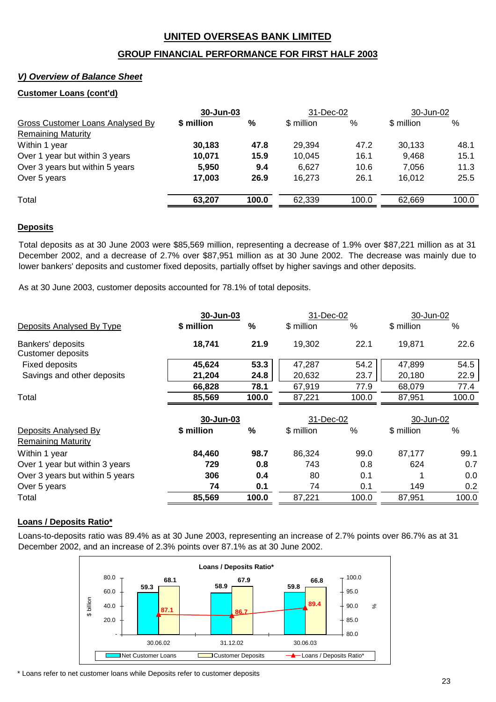### **GROUP FINANCIAL PERFORMANCE FOR FIRST HALF 2003**

### *V) Overview of Balance Sheet*

#### **Customer Loans (cont'd)**

|            | 30-Jun-03 |            | 31-Dec-02 |            | 30-Jun-02 |  |
|------------|-----------|------------|-----------|------------|-----------|--|
| \$ million | %         | \$ million | %         | \$ million | %         |  |
|            |           |            |           |            |           |  |
| 30,183     | 47.8      | 29,394     | 47.2      | 30,133     | 48.1      |  |
| 10,071     | 15.9      | 10,045     | 16.1      | 9,468      | 15.1      |  |
| 5,950      | 9.4       | 6,627      | 10.6      | 7.056      | 11.3      |  |
| 17,003     | 26.9      | 16,273     | 26.1      | 16,012     | 25.5      |  |
| 63,207     | 100.0     | 62,339     | 100.0     | 62,669     | 100.0     |  |
|            |           |            |           |            |           |  |

#### **Deposits**

Total deposits as at 30 June 2003 were \$85,569 million, representing a decrease of 1.9% over \$87,221 million as at 31 December 2002, and a decrease of 2.7% over \$87,951 million as at 30 June 2002. The decrease was mainly due to lower bankers' deposits and customer fixed deposits, partially offset by higher savings and other deposits.

As at 30 June 2003, customer deposits accounted for 78.1% of total deposits.

|                                                   |            | 30-Jun-03 |            | 31-Dec-02 |            | 30-Jun-02 |  |
|---------------------------------------------------|------------|-----------|------------|-----------|------------|-----------|--|
| Deposits Analysed By Type                         | \$ million | %         | \$ million | $\%$      | \$ million | %         |  |
| Bankers' deposits<br><b>Customer deposits</b>     | 18,741     | 21.9      | 19,302     | 22.1      | 19,871     | 22.6      |  |
| <b>Fixed deposits</b>                             | 45,624     | 53.3      | 47,287     | 54.2      | 47,899     | 54.5      |  |
| Savings and other deposits                        | 21,204     | 24.8      | 20,632     | 23.7      | 20,180     | 22.9      |  |
|                                                   | 66,828     | 78.1      | 67,919     | 77.9      | 68,079     | 77.4      |  |
| Total                                             | 85,569     | 100.0     | 87,221     | 100.0     | 87,951     | 100.0     |  |
|                                                   | 30-Jun-03  |           | 31-Dec-02  |           | 30-Jun-02  |           |  |
| Deposits Analysed By<br><b>Remaining Maturity</b> | \$ million | %         | \$ million | $\%$      | \$ million | %         |  |
| Within 1 year                                     | 84,460     | 98.7      | 86,324     | 99.0      | 87,177     | 99.1      |  |
| Over 1 year but within 3 years                    | 729        | 0.8       | 743        | 0.8       | 624        | 0.7       |  |
| Over 3 years but within 5 years                   | 306        | 0.4       | 80         | 0.1       |            | 0.0       |  |
| Over 5 years                                      | 74         | 0.1       | 74         | 0.1       | 149        | 0.2       |  |
| Total                                             | 85,569     | 100.0     | 87,221     | 100.0     | 87,951     | 100.0     |  |

#### **Loans / Deposits Ratio\***

Loans-to-deposits ratio was 89.4% as at 30 June 2003, representing an increase of 2.7% points over 86.7% as at 31 December 2002, and an increase of 2.3% points over 87.1% as at 30 June 2002.



\* Loans refer to net customer loans while Deposits refer to customer deposits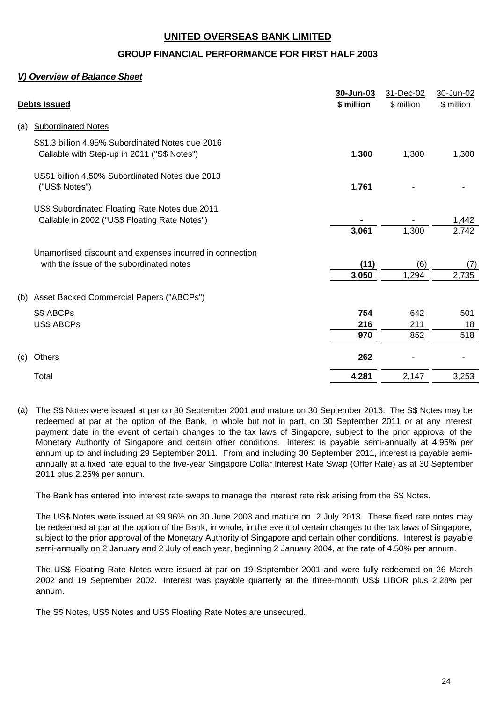### **GROUP FINANCIAL PERFORMANCE FOR FIRST HALF 2003**

### *V) Overview of Balance Sheet*

|     | <b>Debts Issued</b>                                                                                  | 30-Jun-03<br>\$ million | 31-Dec-02<br>\$ million | 30-Jun-02<br>\$ million |
|-----|------------------------------------------------------------------------------------------------------|-------------------------|-------------------------|-------------------------|
| (a) | <b>Subordinated Notes</b>                                                                            |                         |                         |                         |
|     | S\$1.3 billion 4.95% Subordinated Notes due 2016<br>Callable with Step-up in 2011 ("S\$ Notes")      | 1,300                   | 1,300                   | 1,300                   |
|     | US\$1 billion 4.50% Subordinated Notes due 2013<br>("US\$ Notes")                                    | 1,761                   |                         |                         |
|     | US\$ Subordinated Floating Rate Notes due 2011<br>Callable in 2002 ("US\$ Floating Rate Notes")      | 3,061                   | 1,300                   | 1,442<br>2,742          |
|     | Unamortised discount and expenses incurred in connection<br>with the issue of the subordinated notes | (11)                    | (6)                     | (7)                     |
| (b) | <b>Asset Backed Commercial Papers ("ABCPs")</b>                                                      | 3,050                   | 1,294                   | 2,735                   |
|     | S\$ ABCPs<br><b>US\$ ABCPs</b>                                                                       | 754<br>216              | 642<br>211              | 501<br>18               |
|     |                                                                                                      | 970                     | 852                     | 518                     |
| (c) | Others                                                                                               | 262                     |                         |                         |
|     | Total                                                                                                | 4,281                   | 2,147                   | 3,253                   |

(a) The S\$ Notes were issued at par on 30 September 2001 and mature on 30 September 2016. The S\$ Notes may be redeemed at par at the option of the Bank, in whole but not in part, on 30 September 2011 or at any interest payment date in the event of certain changes to the tax laws of Singapore, subject to the prior approval of the Monetary Authority of Singapore and certain other conditions. Interest is payable semi-annually at 4.95% per annum up to and including 29 September 2011. From and including 30 September 2011, interest is payable semiannually at a fixed rate equal to the five-year Singapore Dollar Interest Rate Swap (Offer Rate) as at 30 September 2011 plus 2.25% per annum.

The Bank has entered into interest rate swaps to manage the interest rate risk arising from the S\$ Notes.

The US\$ Notes were issued at 99.96% on 30 June 2003 and mature on 2 July 2013. These fixed rate notes may be redeemed at par at the option of the Bank, in whole, in the event of certain changes to the tax laws of Singapore, subject to the prior approval of the Monetary Authority of Singapore and certain other conditions. Interest is payable semi-annually on 2 January and 2 July of each year, beginning 2 January 2004, at the rate of 4.50% per annum.

The US\$ Floating Rate Notes were issued at par on 19 September 2001 and were fully redeemed on 26 March 2002 and 19 September 2002. Interest was payable quarterly at the three-month US\$ LIBOR plus 2.28% per annum.

The S\$ Notes, US\$ Notes and US\$ Floating Rate Notes are unsecured.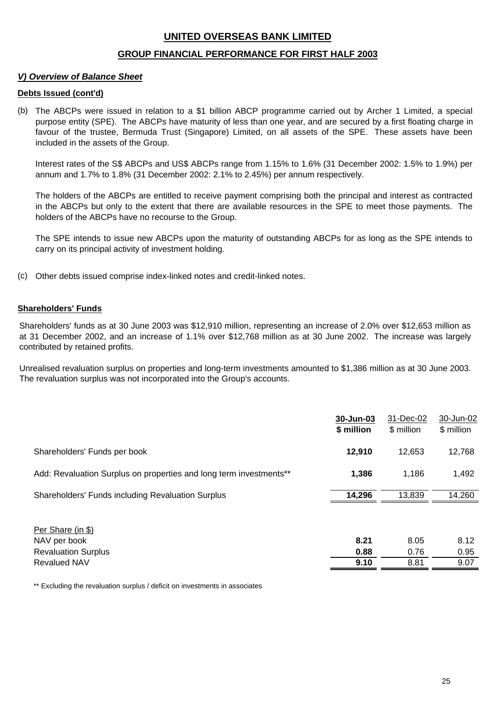### **GROUP FINANCIAL PERFORMANCE FOR FIRST HALF 2003**

### *V) Overview of Balance Sheet*

#### **Debts Issued (cont'd)**

(b) The ABCPs were issued in relation to a \$1 billion ABCP programme carried out by Archer 1 Limited, a special purpose entity (SPE). The ABCPs have maturity of less than one year, and are secured by a first floating charge in favour of the trustee, Bermuda Trust (Singapore) Limited, on all assets of the SPE. These assets have been included in the assets of the Group.

Interest rates of the S\$ ABCPs and US\$ ABCPs range from 1.15% to 1.6% (31 December 2002: 1.5% to 1.9%) per annum and 1.7% to 1.8% (31 December 2002: 2.1% to 2.45%) per annum respectively.

The holders of the ABCPs are entitled to receive payment comprising both the principal and interest as contracted in the ABCPs but only to the extent that there are available resources in the SPE to meet those payments. The holders of the ABCPs have no recourse to the Group.

The SPE intends to issue new ABCPs upon the maturity of outstanding ABCPs for as long as the SPE intends to carry on its principal activity of investment holding.

(c) Other debts issued comprise index-linked notes and credit-linked notes.

#### **Shareholders' Funds**

Shareholders' funds as at 30 June 2003 was \$12,910 million, representing an increase of 2.0% over \$12,653 million as at 31 December 2002, and an increase of 1.1% over \$12,768 million as at 30 June 2002. The increase was largely contributed by retained profits.

Unrealised revaluation surplus on properties and long-term investments amounted to \$1,386 million as at 30 June 2003. The revaluation surplus was not incorporated into the Group's accounts.

|                                                                    | 30-Jun-03<br>\$ million | 31-Dec-02<br>\$ million | 30-Jun-02<br>\$ million |
|--------------------------------------------------------------------|-------------------------|-------------------------|-------------------------|
| Shareholders' Funds per book                                       | 12,910                  | 12,653                  | 12,768                  |
| Add: Revaluation Surplus on properties and long term investments** | 1,386                   | 1,186                   | 1,492                   |
| Shareholders' Funds including Revaluation Surplus                  | 14,296                  | 13,839                  | 14,260                  |
| Per Share (in \$)<br>NAV per book<br><b>Revaluation Surplus</b>    | 8.21<br>0.88            | 8.05<br>0.76            | 8.12<br>0.95            |
| <b>Revalued NAV</b>                                                | 9.10                    | 8.81                    | 9.07                    |

\*\* Excluding the revaluation surplus / deficit on investments in associates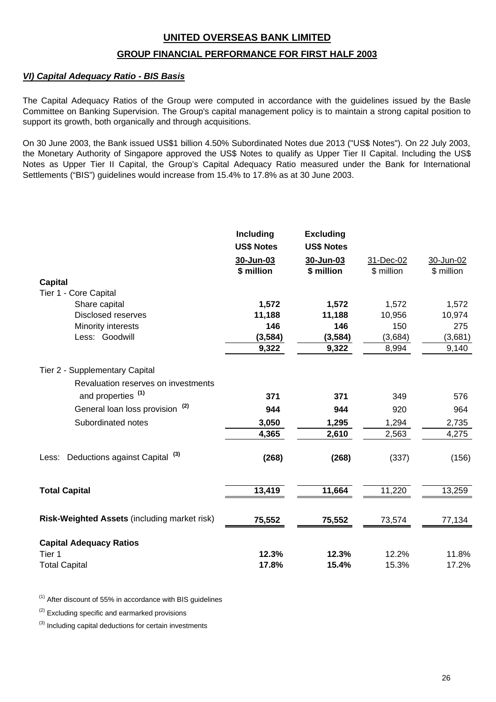### **GROUP FINANCIAL PERFORMANCE FOR FIRST HALF 2003**

### *VI) Capital Adequacy Ratio - BIS Basis*

The Capital Adequacy Ratios of the Group were computed in accordance with the guidelines issued by the Basle Committee on Banking Supervision. The Group's capital management policy is to maintain a strong capital position to support its growth, both organically and through acquisitions.

On 30 June 2003, the Bank issued US\$1 billion 4.50% Subordinated Notes due 2013 ("US\$ Notes"). On 22 July 2003, the Monetary Authority of Singapore approved the US\$ Notes to qualify as Upper Tier II Capital. Including the US\$ Notes as Upper Tier II Capital, the Group's Capital Adequacy Ratio measured under the Bank for International Settlements ("BIS") guidelines would increase from 15.4% to 17.8% as at 30 June 2003.

|                                                    | Including         | <b>Excluding</b>  |            |            |
|----------------------------------------------------|-------------------|-------------------|------------|------------|
|                                                    | <b>US\$ Notes</b> | <b>US\$ Notes</b> |            |            |
|                                                    | 30-Jun-03         | 30-Jun-03         | 31-Dec-02  | 30-Jun-02  |
|                                                    | \$ million        | \$ million        | \$ million | \$ million |
| <b>Capital</b>                                     |                   |                   |            |            |
| Tier 1 - Core Capital                              |                   |                   |            |            |
| Share capital                                      | 1,572             | 1,572             | 1,572      | 1,572      |
| <b>Disclosed reserves</b>                          | 11,188            | 11,188            | 10,956     | 10,974     |
| Minority interests                                 | 146               | 146               | 150        | 275        |
| Less: Goodwill                                     | (3, 584)          | (3, 584)          | (3,684)    | (3,681)    |
|                                                    | 9,322             | 9,322             | 8,994      | 9,140      |
| Tier 2 - Supplementary Capital                     |                   |                   |            |            |
| Revaluation reserves on investments                |                   |                   |            |            |
| and properties <sup>(1)</sup>                      | 371               | 371               | 349        | 576        |
| General loan loss provision <sup>(2)</sup>         | 944               | 944               | 920        | 964        |
| Subordinated notes                                 | 3,050             | 1,295             | 1,294      | 2,735      |
|                                                    | 4,365             | 2,610             | 2,563      | 4,275      |
|                                                    |                   |                   |            |            |
| Deductions against Capital <sup>(3)</sup><br>Less: | (268)             | (268)             | (337)      | (156)      |
|                                                    |                   |                   |            |            |
| <b>Total Capital</b>                               | 13,419            | 11,664            | 11,220     | 13,259     |
| Risk-Weighted Assets (including market risk)       | 75,552            | 75,552            | 73,574     | 77,134     |
|                                                    |                   |                   |            |            |
| <b>Capital Adequacy Ratios</b>                     |                   |                   |            |            |
| Tier 1                                             | 12.3%             | 12.3%             | 12.2%      | 11.8%      |
| <b>Total Capital</b>                               | 17.8%             | 15.4%             | 15.3%      | 17.2%      |

 $(1)$  After discount of 55% in accordance with BIS guidelines

 $(2)$  Excluding specific and earmarked provisions

 $(3)$  Including capital deductions for certain investments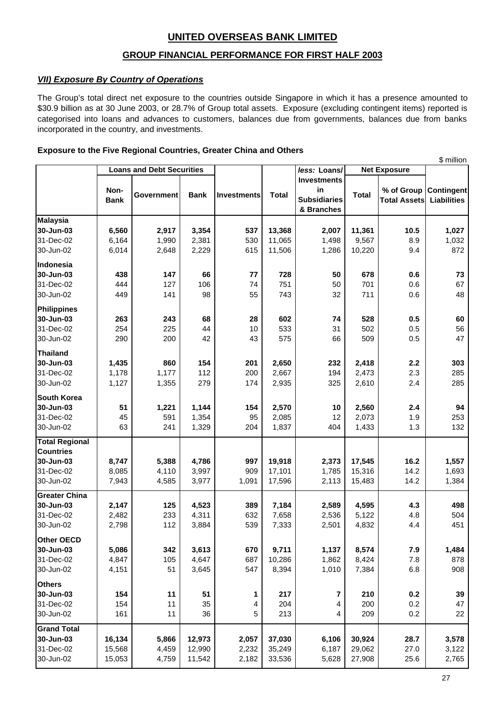# **GROUP FINANCIAL PERFORMANCE FOR FIRST HALF 2003**

### *VII) Exposure By Country of Operations*

The Group's total direct net exposure to the countries outside Singapore in which it has a presence amounted to \$30.9 billion as at 30 June 2003, or 28.7% of Group total assets. Exposure (excluding contingent items) reported is categorised into loans and advances to customers, balances due from governments, balances due from banks incorporated in the country, and investments.

#### **Exposure to the Five Regional Countries, Greater China and Others**

|                       | <b>Loans and Debt Securities</b> |                   |             |                    | less: Loans/ | <b>Net Exposure</b>                                           |              | р шшион                           |                                         |
|-----------------------|----------------------------------|-------------------|-------------|--------------------|--------------|---------------------------------------------------------------|--------------|-----------------------------------|-----------------------------------------|
|                       | Non-<br><b>Bank</b>              | <b>Government</b> | <b>Bank</b> | <b>Investments</b> | <b>Total</b> | <b>Investments</b><br>in<br><b>Subsidiaries</b><br>& Branches | <b>Total</b> | % of Group<br><b>Total Assets</b> | <b>Contingent</b><br><b>Liabilities</b> |
| <b>Malaysia</b>       |                                  |                   |             |                    |              |                                                               |              |                                   |                                         |
| 30-Jun-03             | 6,560                            | 2,917             | 3,354       | 537                | 13,368       | 2,007                                                         | 11,361       | 10.5                              | 1,027                                   |
| 31-Dec-02             | 6,164                            | 1,990             | 2,381       | 530                | 11,065       | 1,498                                                         | 9,567        | 8.9                               | 1,032                                   |
| 30-Jun-02             | 6,014                            | 2,648             | 2,229       | 615                | 11,506       | 1,286                                                         | 10,220       | 9.4                               | 872                                     |
| Indonesia             |                                  |                   |             |                    |              |                                                               |              |                                   |                                         |
| 30-Jun-03             | 438                              | 147               | 66          | 77                 | 728          | 50                                                            | 678          | 0.6                               | 73                                      |
| 31-Dec-02             | 444                              | 127               | 106         | 74                 | 751          | 50                                                            | 701          | 0.6                               | 67                                      |
| 30-Jun-02             | 449                              | 141               | 98          | 55                 | 743          | 32                                                            | 711          | 0.6                               | 48                                      |
| Philippines           |                                  |                   |             |                    |              |                                                               |              |                                   |                                         |
| 30-Jun-03             | 263                              | 243               | 68          | 28                 | 602          | 74                                                            | 528          | 0.5                               | 60                                      |
| 31-Dec-02             | 254                              | 225               | 44          | 10                 | 533          | 31                                                            | 502          | 0.5                               | 56                                      |
| 30-Jun-02             | 290                              | 200               | 42          | 43                 | 575          | 66                                                            | 509          | 0.5                               | 47                                      |
| <b>Thailand</b>       |                                  |                   |             |                    |              |                                                               |              |                                   |                                         |
| 30-Jun-03             | 1,435                            | 860               | 154         | 201                | 2,650        | 232                                                           | 2,418        | 2.2                               | 303                                     |
| 31-Dec-02             | 1,178                            | 1,177             | 112         | 200                | 2,667        | 194                                                           | 2,473        | 2.3                               | 285                                     |
| 30-Jun-02             | 1,127                            | 1,355             | 279         | 174                | 2,935        | 325                                                           | 2,610        | 2.4                               | 285                                     |
| South Korea           |                                  |                   |             |                    |              |                                                               |              |                                   |                                         |
| 30-Jun-03             | 51                               | 1,221             | 1,144       | 154                | 2,570        | 10                                                            | 2,560        | 2.4                               | 94                                      |
| 31-Dec-02             | 45                               | 591               | 1,354       | 95                 | 2,085        | 12                                                            | 2,073        | 1.9                               | 253                                     |
| 30-Jun-02             | 63                               | 241               | 1,329       | 204                | 1,837        | 404                                                           | 1,433        | 1.3                               | 132                                     |
| <b>Total Regional</b> |                                  |                   |             |                    |              |                                                               |              |                                   |                                         |
| <b>Countries</b>      |                                  |                   |             |                    |              |                                                               |              |                                   |                                         |
| 30-Jun-03             | 8,747                            | 5,388             | 4,786       | 997                | 19,918       | 2,373                                                         | 17,545       | 16.2                              | 1,557                                   |
| 31-Dec-02             | 8,085                            | 4,110             | 3,997       | 909                | 17,101       | 1,785                                                         | 15,316       | 14.2                              | 1,693                                   |
| 30-Jun-02             | 7,943                            | 4,585             | 3,977       | 1,091              | 17,596       | 2,113                                                         | 15,483       | 14.2                              | 1,384                                   |
| <b>Greater China</b>  |                                  |                   |             |                    |              |                                                               |              |                                   |                                         |
| 30-Jun-03             | 2,147                            | 125               | 4,523       | 389                | 7,184        | 2,589                                                         | 4,595        | 4.3                               | 498                                     |
| 31-Dec-02             | 2,482                            | 233               | 4,311       | 632                | 7,658        | 2,536                                                         | 5,122        | 4.8                               | 504                                     |
| 30-Jun-02             | 2,798                            | 112               | 3,884       | 539                | 7,333        | 2,501                                                         | 4,832        | 4.4                               | 451                                     |
| Other OECD            |                                  |                   |             |                    |              |                                                               |              |                                   |                                         |
| 30-Jun-03             | 5,086                            | 342               | 3,613       | 670                | 9,711        | 1,137                                                         | 8,574        | 7.9                               | 1,484                                   |
| 31-Dec-02             | 4,847                            | 105               | 4,647       | 687                | 10,286       | 1,862                                                         | 8,424        | 7.8                               | 878                                     |
| 30-Jun-02             | 4,151                            | 51                | 3,645       | 547                | 8,394        | 1,010                                                         | 7,384        | 6.8                               | 908                                     |
| <b>Others</b>         |                                  |                   |             |                    |              |                                                               |              |                                   |                                         |
| 30-Jun-03             | 154                              | 11                | 51          | 1                  | 217          | 7                                                             | 210          | 0.2                               | 39                                      |
| 31-Dec-02             | 154                              | 11                | 35          | 4                  | 204          | 4                                                             | 200          | 0.2                               | 47                                      |
| 30-Jun-02             | 161                              | 11                | 36          | 5                  | 213          | 4                                                             | 209          | 0.2                               | 22                                      |
| <b>Grand Total</b>    |                                  |                   |             |                    |              |                                                               |              |                                   |                                         |
| 30-Jun-03             | 16,134                           | 5,866             | 12,973      | 2,057              | 37,030       | 6,106                                                         | 30,924       | 28.7                              | 3,578                                   |
| 31-Dec-02             | 15,568                           | 4,459             | 12,990      | 2,232              | 35,249       | 6,187                                                         | 29,062       | 27.0                              | 3,122                                   |
| 30-Jun-02             | 15,053                           | 4,759             | 11,542      | 2,182              | 33,536       | 5,628                                                         | 27,908       | 25.6                              | 2,765                                   |

 $\phi$  million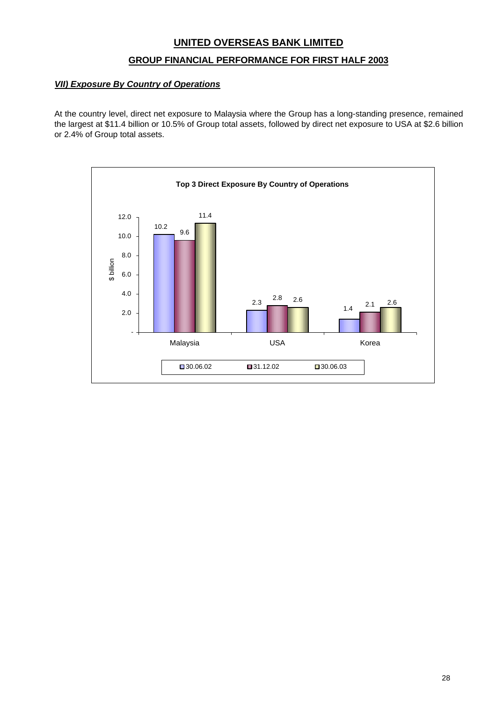### **GROUP FINANCIAL PERFORMANCE FOR FIRST HALF 2003**

### *VII) Exposure By Country of Operations*

At the country level, direct net exposure to Malaysia where the Group has a long-standing presence, remained the largest at \$11.4 billion or 10.5% of Group total assets, followed by direct net exposure to USA at \$2.6 billion or 2.4% of Group total assets.

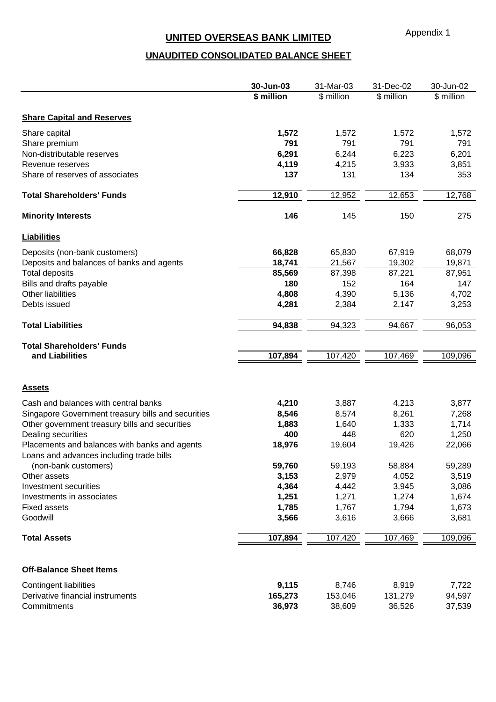# **UNAUDITED CONSOLIDATED BALANCE SHEET**

|                                                                                           | 30-Jun-03  | 31-Mar-03  | 31-Dec-02  | 30-Jun-02  |
|-------------------------------------------------------------------------------------------|------------|------------|------------|------------|
|                                                                                           | \$ million | \$ million | \$ million | \$ million |
| <b>Share Capital and Reserves</b>                                                         |            |            |            |            |
| Share capital                                                                             | 1,572      | 1,572      | 1,572      | 1,572      |
| Share premium                                                                             | 791        | 791        | 791        | 791        |
| Non-distributable reserves                                                                | 6,291      | 6,244      | 6,223      | 6,201      |
| Revenue reserves                                                                          | 4,119      | 4,215      | 3,933      | 3,851      |
| Share of reserves of associates                                                           | 137        | 131        | 134        | 353        |
| <b>Total Shareholders' Funds</b>                                                          | 12,910     | 12,952     | 12,653     | 12,768     |
| <b>Minority Interests</b>                                                                 | 146        | 145        | 150        | 275        |
| <b>Liabilities</b>                                                                        |            |            |            |            |
| Deposits (non-bank customers)                                                             | 66,828     | 65,830     | 67,919     | 68,079     |
| Deposits and balances of banks and agents                                                 | 18,741     | 21,567     | 19,302     | 19,871     |
| <b>Total deposits</b>                                                                     | 85,569     | 87,398     | 87,221     | 87,951     |
| Bills and drafts payable                                                                  | 180        | 152        | 164        | 147        |
| <b>Other liabilities</b>                                                                  | 4,808      | 4,390      | 5,136      | 4,702      |
| Debts issued                                                                              | 4,281      | 2,384      | 2,147      | 3,253      |
| <b>Total Liabilities</b>                                                                  | 94,838     | 94,323     | 94,667     | 96,053     |
| <b>Total Shareholders' Funds</b>                                                          |            |            |            |            |
| and Liabilities                                                                           | 107,894    | 107,420    | 107,469    | 109,096    |
|                                                                                           |            |            |            |            |
| <b>Assets</b>                                                                             |            |            |            |            |
| Cash and balances with central banks                                                      | 4,210      | 3,887      | 4,213      | 3,877      |
| Singapore Government treasury bills and securities                                        | 8,546      | 8,574      | 8,261      | 7,268      |
| Other government treasury bills and securities                                            | 1,883      | 1,640      | 1,333      | 1,714      |
| Dealing securities                                                                        | 400        | 448        | 620        | 1,250      |
| Placements and balances with banks and agents<br>Loans and advances including trade bills | 18,976     | 19,604     | 19,426     | 22,066     |
| (non-bank customers)                                                                      | 59,760     | 59,193     | 58,884     | 59,289     |
| Other assets                                                                              | 3,153      | 2,979      | 4,052      | 3,519      |
| Investment securities                                                                     | 4,364      | 4,442      | 3,945      | 3,086      |
| Investments in associates                                                                 | 1,251      | 1,271      | 1,274      | 1,674      |
| <b>Fixed assets</b>                                                                       | 1,785      | 1,767      | 1,794      | 1,673      |
| Goodwill                                                                                  | 3,566      | 3,616      | 3,666      | 3,681      |
| <b>Total Assets</b>                                                                       | 107,894    | 107,420    | 107,469    | 109,096    |
| <b>Off-Balance Sheet Items</b>                                                            |            |            |            |            |
| Contingent liabilities                                                                    | 9,115      | 8,746      | 8,919      | 7,722      |
| Derivative financial instruments                                                          | 165,273    | 153,046    | 131,279    | 94,597     |
| Commitments                                                                               | 36,973     | 38,609     | 36,526     | 37,539     |
|                                                                                           |            |            |            |            |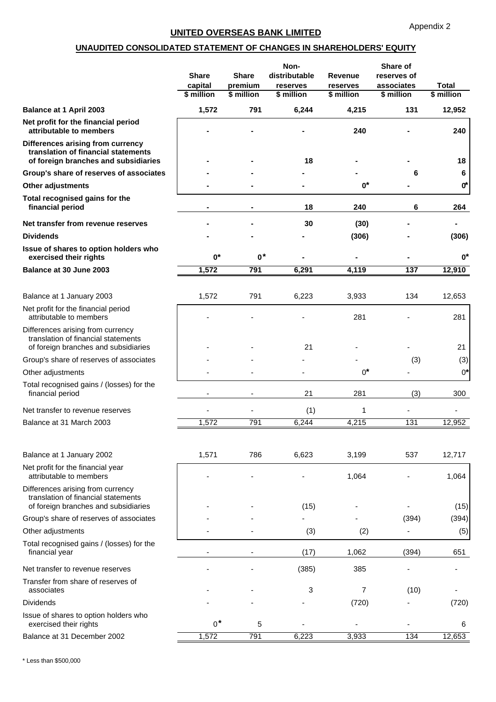### **UNAUDITED CONSOLIDATED STATEMENT OF CHANGES IN SHAREHOLDERS' EQUITY**

|                                                                                                                  | <b>Share</b><br>capital<br>\$ million | <b>Share</b><br>premium<br>\$ million | Non-<br>distributable<br>reserves<br>\$ million | <b>Revenue</b><br>reserves<br>\$ million | Share of<br>reserves of<br>associates<br>\$ million | <b>Total</b><br>\$ million |
|------------------------------------------------------------------------------------------------------------------|---------------------------------------|---------------------------------------|-------------------------------------------------|------------------------------------------|-----------------------------------------------------|----------------------------|
| Balance at 1 April 2003                                                                                          | 1,572                                 | 791                                   | 6,244                                           | 4,215                                    | 131                                                 | 12,952                     |
| Net profit for the financial period<br>attributable to members                                                   |                                       |                                       |                                                 | 240                                      |                                                     | 240                        |
| Differences arising from currency<br>translation of financial statements<br>of foreign branches and subsidiaries |                                       |                                       | 18                                              |                                          |                                                     | 18                         |
| Group's share of reserves of associates                                                                          |                                       |                                       |                                                 |                                          | 6                                                   | 6                          |
| <b>Other adjustments</b>                                                                                         |                                       |                                       |                                                 | $0^*$                                    |                                                     | $0^*$                      |
| Total recognised gains for the<br>financial period                                                               |                                       |                                       | 18                                              | 240                                      | 6                                                   | 264                        |
| Net transfer from revenue reserves                                                                               |                                       |                                       | 30                                              | (30)                                     |                                                     |                            |
| <b>Dividends</b>                                                                                                 |                                       |                                       |                                                 | (306)                                    |                                                     | (306)                      |
| Issue of shares to option holders who<br>exercised their rights                                                  | $0^*$                                 | $0^*$                                 |                                                 |                                          |                                                     | $0^*$                      |
| Balance at 30 June 2003                                                                                          | 1,572                                 | 791                                   | 6,291                                           | 4,119                                    | 137                                                 | 12,910                     |
|                                                                                                                  |                                       |                                       |                                                 |                                          |                                                     |                            |
| Balance at 1 January 2003                                                                                        | 1,572                                 | 791                                   | 6,223                                           | 3,933                                    | 134                                                 | 12,653                     |
| Net profit for the financial period<br>attributable to members                                                   |                                       |                                       |                                                 | 281                                      |                                                     | 281                        |
| Differences arising from currency<br>translation of financial statements<br>of foreign branches and subsidiaries |                                       |                                       | 21                                              |                                          |                                                     | 21                         |
| Group's share of reserves of associates                                                                          |                                       |                                       |                                                 |                                          | (3)                                                 | (3)                        |
| Other adjustments                                                                                                |                                       |                                       |                                                 | $0^*$                                    |                                                     | $0^*$                      |
| Total recognised gains / (losses) for the<br>financial period                                                    |                                       |                                       | 21                                              | 281                                      | (3)                                                 | 300                        |
| Net transfer to revenue reserves                                                                                 |                                       |                                       | (1)                                             | 1                                        |                                                     |                            |
| Balance at 31 March 2003                                                                                         | 1,572                                 | 791                                   | 6,244                                           | 4,215                                    | 131                                                 | 12,952                     |
|                                                                                                                  |                                       |                                       |                                                 |                                          |                                                     |                            |
| Balance at 1 January 2002                                                                                        | 1,571                                 | 786                                   | 6,623                                           | 3,199                                    | 537                                                 | 12,717                     |
| Net profit for the financial year<br>attributable to members                                                     |                                       |                                       |                                                 | 1,064                                    |                                                     | 1,064                      |
| Differences arising from currency<br>translation of financial statements<br>of foreign branches and subsidiaries |                                       |                                       | (15)                                            |                                          |                                                     | (15)                       |
| Group's share of reserves of associates                                                                          |                                       |                                       |                                                 |                                          | (394)                                               | (394)                      |
| Other adjustments                                                                                                |                                       |                                       | (3)                                             | (2)                                      |                                                     | (5)                        |
| Total recognised gains / (losses) for the                                                                        |                                       |                                       |                                                 |                                          |                                                     |                            |
| financial year                                                                                                   |                                       |                                       | (17)                                            | 1,062                                    | (394)                                               | 651                        |
| Net transfer to revenue reserves                                                                                 |                                       |                                       | (385)                                           | 385                                      |                                                     |                            |
| Transfer from share of reserves of<br>associates                                                                 |                                       |                                       | 3                                               | 7                                        | (10)                                                |                            |
| <b>Dividends</b>                                                                                                 |                                       |                                       |                                                 | (720)                                    |                                                     | (720)                      |
| Issue of shares to option holders who<br>exercised their rights                                                  | $0^*$                                 | 5                                     |                                                 |                                          |                                                     | 6                          |
| Balance at 31 December 2002                                                                                      | 1,572                                 | 791                                   | 6,223                                           | 3,933                                    | 134                                                 | 12,653                     |